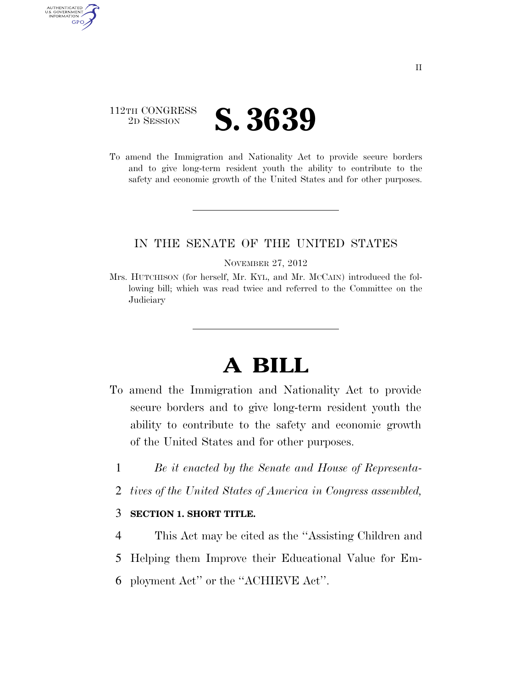## 112TH CONGRESS <sup>2D SESSION</sup> **S. 3639**

AUTHENTICATED<br>U.S. GOVERNMENT<br>INFORMATION **GPO** 

> To amend the Immigration and Nationality Act to provide secure borders and to give long-term resident youth the ability to contribute to the safety and economic growth of the United States and for other purposes.

### IN THE SENATE OF THE UNITED STATES

#### NOVEMBER 27, 2012

Mrs. HUTCHISON (for herself, Mr. KYL, and Mr. MCCAIN) introduced the following bill; which was read twice and referred to the Committee on the **Judiciary** 

# **A BILL**

- To amend the Immigration and Nationality Act to provide secure borders and to give long-term resident youth the ability to contribute to the safety and economic growth of the United States and for other purposes.
	- 1 *Be it enacted by the Senate and House of Representa-*
	- 2 *tives of the United States of America in Congress assembled,*

#### 3 **SECTION 1. SHORT TITLE.**

- 4 This Act may be cited as the ''Assisting Children and
- 5 Helping them Improve their Educational Value for Em-
- 6 ployment Act'' or the ''ACHIEVE Act''.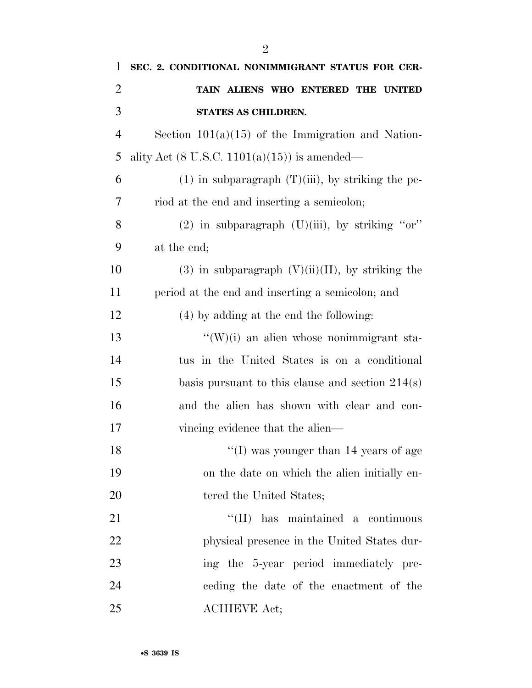| $\mathbf{1}$   | SEC. 2. CONDITIONAL NONIMMIGRANT STATUS FOR CER-        |
|----------------|---------------------------------------------------------|
| $\overline{2}$ | TAIN ALIENS WHO ENTERED THE UNITED                      |
| 3              | STATES AS CHILDREN.                                     |
| $\overline{4}$ | Section $101(a)(15)$ of the Immigration and Nation-     |
| 5              | ality Act $(8 \text{ U.S.C. } 1101(a)(15))$ is amended— |
| 6              | $(1)$ in subparagraph $(T)(iii)$ , by striking the pe-  |
| 7              | riod at the end and inserting a semicolon;              |
| 8              | $(2)$ in subparagraph $(U)(iii)$ , by striking "or"     |
| 9              | at the end;                                             |
| 10             | $(3)$ in subparagraph $(V)(ii)(II)$ , by striking the   |
| 11             | period at the end and inserting a semicolon; and        |
| 12             | (4) by adding at the end the following:                 |
| 13             | $\lq\lq(W)(i)$ an alien whose nonimmigrant sta-         |
| 14             | tus in the United States is on a conditional            |
| 15             | basis pursuant to this clause and section $214(s)$      |
| 16             | and the alien has shown with clear and con-             |
| 17             | vincing evidence that the alien—                        |
| 18             | "(I) was younger than $14$ years of age                 |
| 19             | on the date on which the alien initially en-            |
| 20             | tered the United States;                                |
| 21             | "(II) has maintained a continuous                       |
| 22             | physical presence in the United States dur-             |
| 23             | ing the 5-year period immediately pre-                  |
| 24             | ceding the date of the enactment of the                 |
| 25             | <b>ACHIEVE Act;</b>                                     |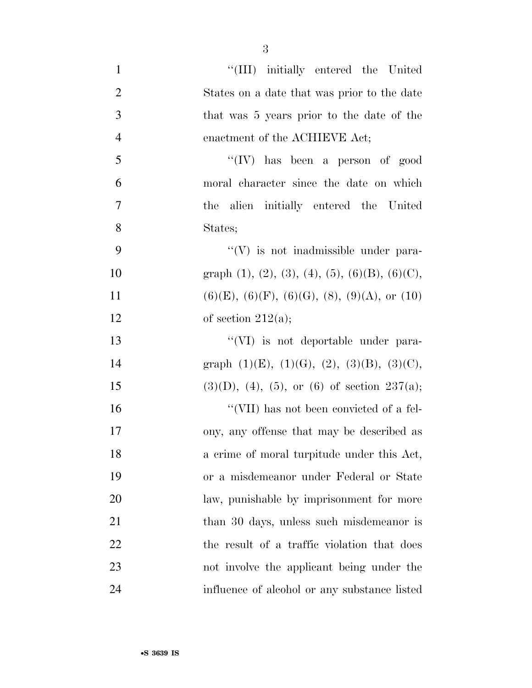| $\mathbf{1}$   | "(III) initially entered the United                                 |
|----------------|---------------------------------------------------------------------|
| $\overline{2}$ | States on a date that was prior to the date                         |
| 3              | that was 5 years prior to the date of the                           |
| $\overline{4}$ | enactment of the ACHIEVE Act;                                       |
| 5              | $``(IV)$ has been a person of good                                  |
| 6              | moral character since the date on which                             |
| $\overline{7}$ | the alien initially entered the United                              |
| 8              | States;                                                             |
| 9              | $\lq\lq(V)$ is not inadmissible under para-                         |
| 10             | graph $(1)$ , $(2)$ , $(3)$ , $(4)$ , $(5)$ , $(6)(B)$ , $(6)(C)$ , |
| 11             | $(6)(E)$ , $(6)(F)$ , $(6)(G)$ , $(8)$ , $(9)(A)$ , or $(10)$       |
| 12             | of section $212(a)$ ;                                               |
| 13             | "(VI) is not deportable under para-                                 |
| 14             | graph $(1)(E)$ , $(1)(G)$ , $(2)$ , $(3)(B)$ , $(3)(C)$ ,           |
| 15             | $(3)(D), (4), (5),$ or $(6)$ of section $237(a);$                   |
| 16             | "(VII) has not been convicted of a fel-                             |
| 17             | ony, any offense that may be described as                           |
| 18             | a crime of moral turpitude under this Act,                          |
| 19             | or a misdemeanor under Federal or State                             |
| 20             | law, punishable by imprisonment for more                            |
| 21             | than 30 days, unless such misdemean or is                           |
| 22             | the result of a traffic violation that does                         |
| 23             | not involve the applicant being under the                           |
| 24             | influence of alcohol or any substance listed                        |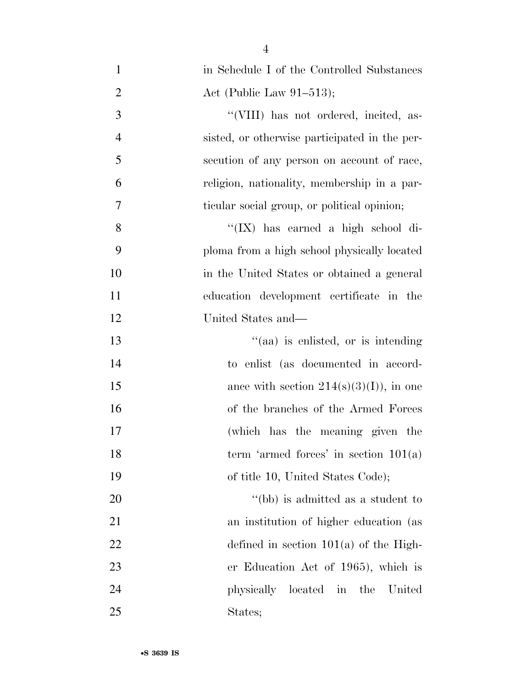| $\mathbf{1}$   | in Schedule I of the Controlled Substances    |
|----------------|-----------------------------------------------|
| $\overline{2}$ | Act (Public Law $91-513$ );                   |
| 3              | "(VIII) has not ordered, incited, as-         |
| $\overline{4}$ | sisted, or otherwise participated in the per- |
| 5              | secution of any person on account of race,    |
| 6              | religion, nationality, membership in a par-   |
| 7              | ticular social group, or political opinion;   |
| 8              | " $(IX)$ has earned a high school di-         |
| 9              | ploma from a high school physically located   |
| 10             | in the United States or obtained a general    |
| 11             | education development certificate in the      |
| 12             | United States and—                            |
| 13             | "(aa) is enlisted, or is intending            |
| 14             | to enlist (as documented in accord-           |
| 15             | ance with section $214(s)(3)(I)$ , in one     |
| 16             | of the branches of the Armed Forces           |
| 17             | (which has the meaning given the              |
| 18             | term 'armed forces' in section $101(a)$       |
| 19             | of title 10, United States Code);             |
| 20             | "(bb) is admitted as a student to             |
| 21             | an institution of higher education (as        |
| 22             | defined in section $101(a)$ of the High-      |
| 23             | er Education Act of 1965), which is           |
| 24             | located in the<br>physically<br>United        |
| 25             | States;                                       |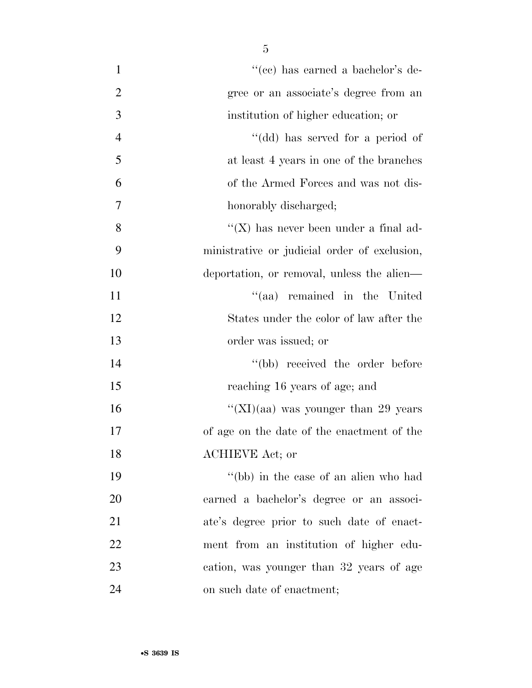| $\mathbf{1}$   | "(cc) has earned a bachelor's de-            |
|----------------|----------------------------------------------|
| $\overline{2}$ | gree or an associate's degree from an        |
| 3              | institution of higher education; or          |
| $\overline{4}$ | "(dd) has served for a period of             |
| 5              | at least 4 years in one of the branches      |
| 6              | of the Armed Forces and was not dis-         |
| 7              | honorably discharged;                        |
| 8              | "( $X$ ) has never been under a final ad-    |
| 9              | ministrative or judicial order of exclusion, |
| 10             | deportation, or removal, unless the alien—   |
| 11             | "(aa) remained in the United                 |
| 12             | States under the color of law after the      |
| 13             | order was issued; or                         |
| 14             | "(bb) received the order before              |
| 15             | reaching 16 years of age; and                |
| 16             | "(XI)(aa) was younger than 29 years          |
| 17             | of age on the date of the enactment of the   |
| 18             | <b>ACHIEVE</b> Act; or                       |
| 19             | "(bb) in the case of an alien who had        |
| 20             | earned a bachelor's degree or an associ-     |
| 21             | ate's degree prior to such date of enact-    |
| 22             | ment from an institution of higher edu-      |
| 23             | cation, was younger than 32 years of age     |
| 24             | on such date of enactment;                   |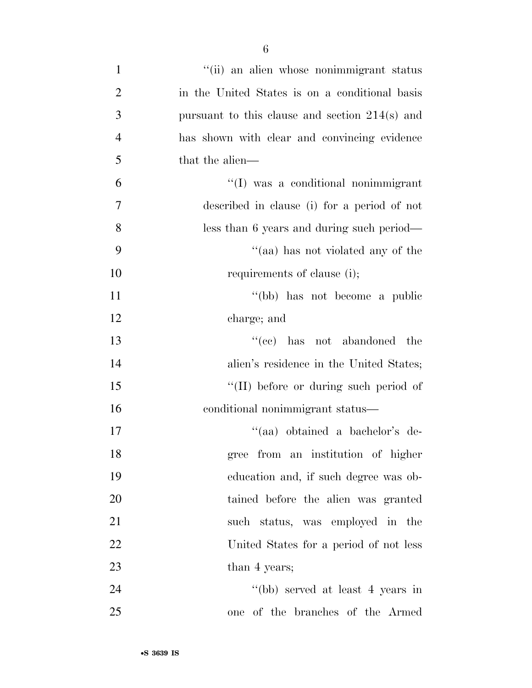| $\mathbf{1}$   | "(ii) an alien whose nonimmigrant status         |
|----------------|--------------------------------------------------|
| $\overline{2}$ | in the United States is on a conditional basis   |
| 3              | pursuant to this clause and section $214(s)$ and |
| $\overline{4}$ | has shown with clear and convincing evidence     |
| 5              | that the alien—                                  |
| 6              | "(I) was a conditional nonimmigrant              |
| $\tau$         | described in clause (i) for a period of not      |
| 8              | less than 6 years and during such period—        |
| 9              | "(aa) has not violated any of the                |
| 10             | requirements of clause (i);                      |
| 11             | "(bb) has not become a public                    |
| 12             | charge; and                                      |
| 13             | $``(ee)$ has not abandoned the                   |
| 14             | alien's residence in the United States;          |
| 15             | "(II) before or during such period of            |
| 16             | conditional nonimmigrant status—                 |
| 17             | "(aa) obtained a bachelor's de-                  |
| 18             | gree from an institution of higher               |
| 19             | education and, if such degree was ob-            |
| 20             | tained before the alien was granted              |
| 21             | such status, was employed in the                 |
| 22             | United States for a period of not less           |
| 23             | than 4 years;                                    |
| 24             | "(bb) served at least 4 years in                 |
| 25             | one of the branches of the Armed                 |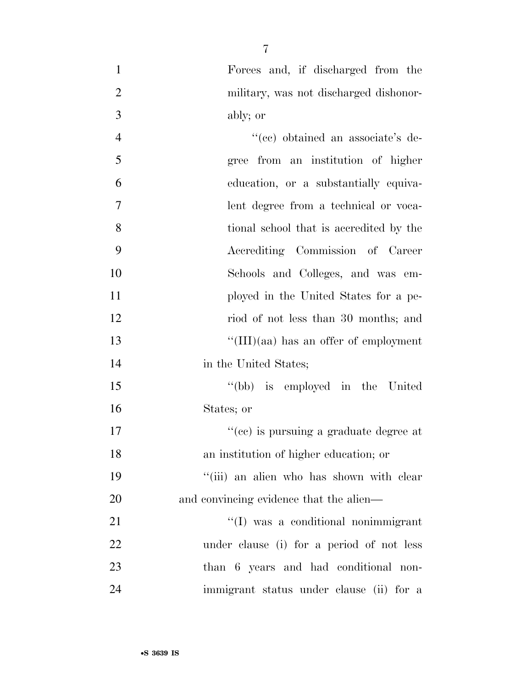- Forces and, if discharged from the military, was not discharged dishonor-ably; or
- 4  $"({\rm cc})$  obtained an associate's de- gree from an institution of higher education, or a substantially equiva- lent degree from a technical or voca- tional school that is accredited by the Accrediting Commission of Career Schools and Colleges, and was em- ployed in the United States for a pe- riod of not less than 30 months; and ''(III)(aa) has an offer of employment 14 in the United States; ''(bb) is employed in the United States; or 17  $\frac{1}{2}$  (ce) is pursuing a graduate degree at an institution of higher education; or 19 ''(iii) an alien who has shown with clear 20 and convincing evidence that the alien— 21  $\frac{1}{2}$  (I) was a conditional nonimmigrant under clause (i) for a period of not less than 6 years and had conditional non-immigrant status under clause (ii) for a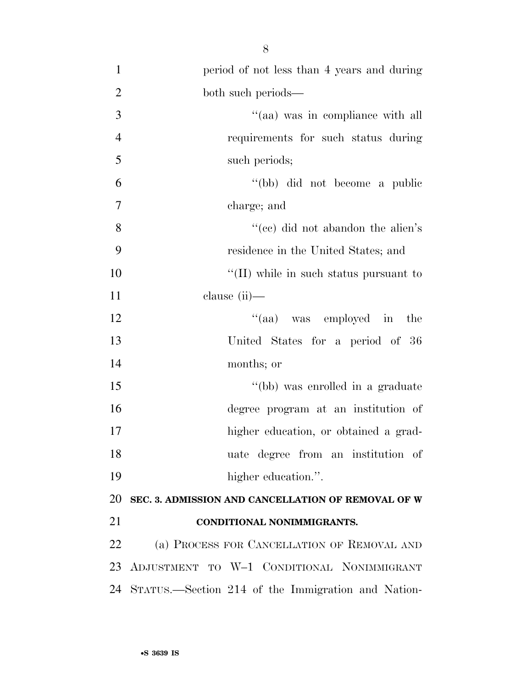| $\mathbf{1}$   | period of not less than 4 years and during            |
|----------------|-------------------------------------------------------|
| $\overline{2}$ | both such periods—                                    |
| 3              | "(aa) was in compliance with all                      |
| $\overline{4}$ | requirements for such status during                   |
| 5              | such periods;                                         |
| 6              | "(bb) did not become a public                         |
| $\tau$         | charge; and                                           |
| 8              | "(cc) did not abandon the alien's                     |
| 9              | residence in the United States; and                   |
| 10             | $\lq\lq$ (II) while in such status pursuant to        |
| 11             | clause $(ii)$ —                                       |
| 12             | "(aa) was employed in the                             |
| 13             | United States for a period of 36                      |
| 14             | months; or                                            |
| 15             | "(bb) was enrolled in a graduate                      |
| 16             | degree program at an institution of                   |
| 17             | higher education, or obtained a grad-                 |
| 18             | uate degree from an institution of                    |
| 19             | higher education.".                                   |
| 20             | SEC. 3. ADMISSION AND CANCELLATION OF REMOVAL OF W    |
| 21             | CONDITIONAL NONIMMIGRANTS.                            |
| 22             | (a) PROCESS FOR CANCELLATION OF REMOVAL AND           |
|                | 23 ADJUSTMENT TO W-1 CONDITIONAL NONIMMIGRANT         |
|                | 24 STATUS.—Section 214 of the Immigration and Nation- |
|                |                                                       |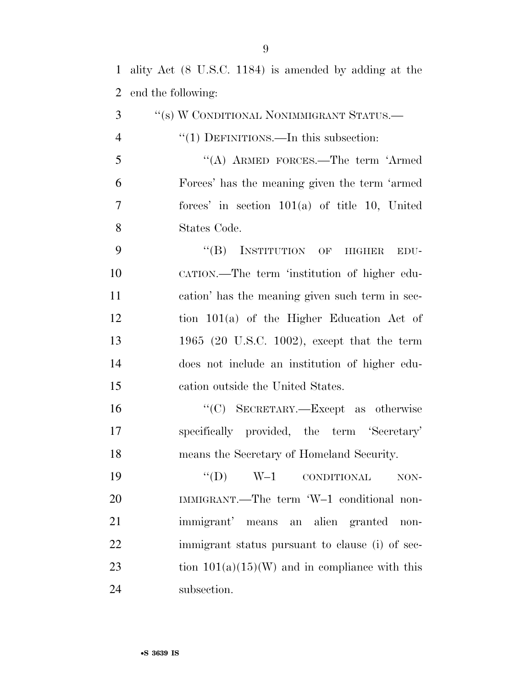ality Act (8 U.S.C. 1184) is amended by adding at the end the following:

 ''(s) W CONDITIONAL NONIMMIGRANT STATUS.— 4 "(1) DEFINITIONS.—In this subsection: ''(A) ARMED FORCES.—The term 'Armed Forces' has the meaning given the term 'armed forces' in section 101(a) of title 10, United States Code. 9 "(B) INSTITUTION OF HIGHER EDU- CATION.—The term 'institution of higher edu- cation' has the meaning given such term in sec- tion 101(a) of the Higher Education Act of 1965 (20 U.S.C. 1002), except that the term does not include an institution of higher edu- cation outside the United States. 16 "'(C) SECRETARY.—Except as otherwise specifically provided, the term 'Secretary' means the Secretary of Homeland Security. 19 "'(D) W–1 CONDITIONAL NON- IMMIGRANT.—The term 'W–1 conditional non- immigrant' means an alien granted non- immigrant status pursuant to clause (i) of sec-23 tion  $101(a)(15)(W)$  and in compliance with this subsection.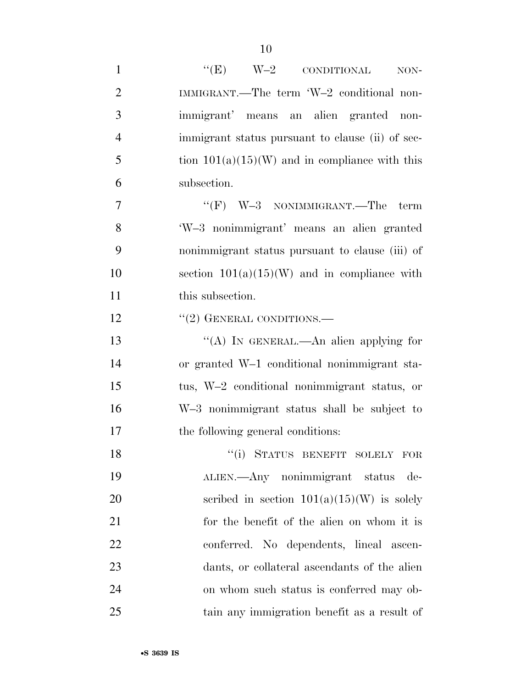| $\mathbf{1}$   | " $(E)$ W-2 CONDITIONAL<br>NON-                  |
|----------------|--------------------------------------------------|
| $\overline{2}$ | IMMIGRANT.—The term 'W-2 conditional non-        |
| 3              | immigrant' means an alien granted non-           |
| $\overline{4}$ | immigrant status pursuant to clause (ii) of sec- |
| 5              | tion $101(a)(15)(W)$ and in compliance with this |
| 6              | subsection.                                      |
| 7              | " $(F)$ W-3 NONIMMIGRANT.—The<br>term            |
| 8              | 'W-3 nonimmigrant' means an alien granted        |
| 9              | nonimmigrant status pursuant to clause (iii) of  |
| 10             | section $101(a)(15)(W)$ and in compliance with   |
| 11             | this subsection.                                 |
| 12             | $"(2)$ GENERAL CONDITIONS.—                      |
| 13             | "(A) IN GENERAL.—An alien applying for           |
| 14             | or granted W-1 conditional nonimmigrant sta-     |
| 15             | tus, W-2 conditional nonimmigrant status, or     |
| 16             | W-3 nonimmigrant status shall be subject to      |
| 17             | the following general conditions:                |
| 18             | "(i) STATUS BENEFIT SOLELY FOR                   |
| 19             | ALIEN.—Any nonimmigrant status<br>de-            |
| 20             | scribed in section $101(a)(15)(W)$ is solely     |
| 21             | for the benefit of the alien on whom it is       |
| 22             | conferred. No dependents, lineal ascen-          |
| 23             | dants, or collateral ascendants of the alien     |
| 24             | on whom such status is conferred may ob-         |
| 25             | tain any immigration benefit as a result of      |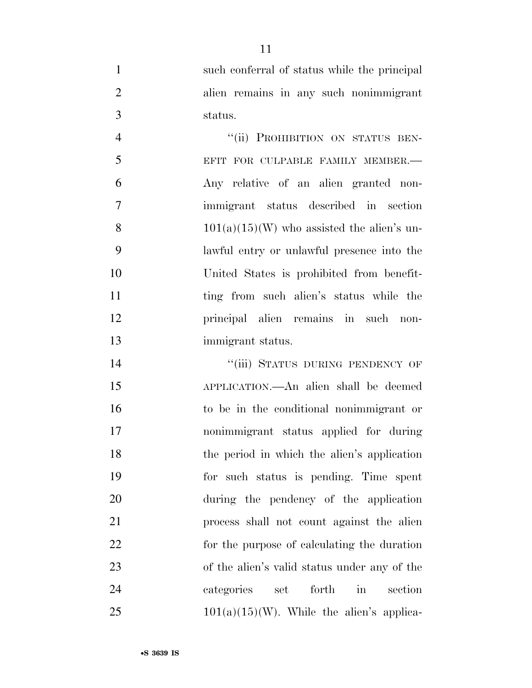such conferral of status while the principal alien remains in any such nonimmigrant status.

4 "(ii) PROHIBITION ON STATUS BEN-5 EFIT FOR CULPABLE FAMILY MEMBER. Any relative of an alien granted non- immigrant status described in section 8 101(a)(15)(W) who assisted the alien's un- lawful entry or unlawful presence into the United States is prohibited from benefit-11 ting from such alien's status while the principal alien remains in such non-immigrant status.

 ''(iii) STATUS DURING PENDENCY OF APPLICATION.—An alien shall be deemed to be in the conditional nonimmigrant or nonimmigrant status applied for during 18 the period in which the alien's application for such status is pending. Time spent during the pendency of the application process shall not count against the alien for the purpose of calculating the duration of the alien's valid status under any of the categories set forth in section  $101(a)(15)(W)$ . While the alien's applica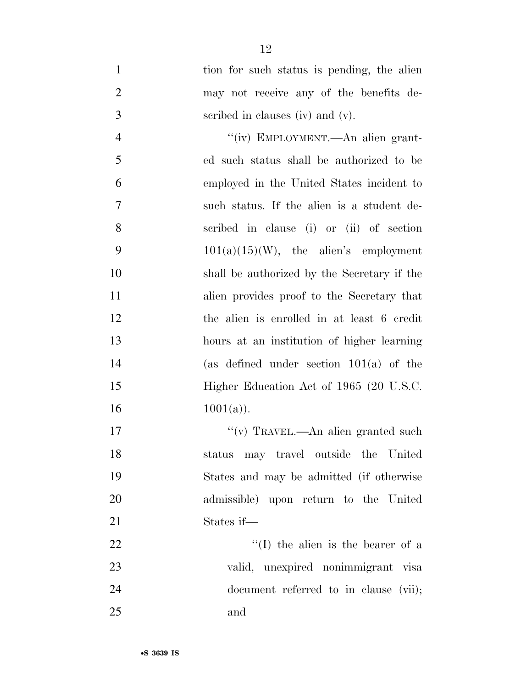1 tion for such status is pending, the alien may not receive any of the benefits de-scribed in clauses (iv) and (v).

 $''(iv)$  EMPLOYMENT.—An alien grant- ed such status shall be authorized to be employed in the United States incident to such status. If the alien is a student de- scribed in clause (i) or (ii) of section  $101(a)(15)(W)$ , the alien's employment shall be authorized by the Secretary if the alien provides proof to the Secretary that the alien is enrolled in at least 6 credit hours at an institution of higher learning (as defined under section 101(a) of the 15 Higher Education Act of 1965 (20 U.S.C. 16  $1001(a)$ .

 $''(v)$  TRAVEL.—An alien granted such status may travel outside the United States and may be admitted (if otherwise admissible) upon return to the United States if— 22 ''(I) the alien is the bearer of a valid, unexpired nonimmigrant visa 24 document referred to in clause (vii);

and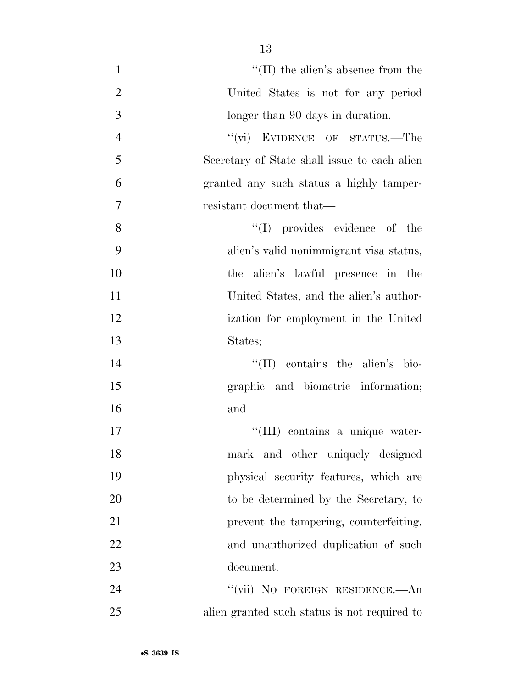| $\mathbf{1}$   | $\lq\lq$ (II) the alien's absence from the   |
|----------------|----------------------------------------------|
| $\overline{2}$ | United States is not for any period          |
| 3              | longer than 90 days in duration.             |
| $\overline{4}$ | "(vi) EVIDENCE OF STATUS.—The                |
| 5              | Secretary of State shall issue to each alien |
| 6              | granted any such status a highly tamper-     |
| 7              | resistant document that—                     |
| 8              | "(I) provides evidence of the                |
| 9              | alien's valid nonimmigrant visa status,      |
| 10             | the alien's lawful presence in the           |
| 11             | United States, and the alien's author-       |
| 12             | ization for employment in the United         |
| 13             | States;                                      |
| 14             | $\lq\lq$ (II) contains the alien's bio-      |
| 15             | graphic and biometric information;           |
| 16             | and                                          |
| 17             | "(III) contains a unique water-              |
| 18             | mark and other uniquely designed             |
| 19             | physical security features, which are        |
| 20             | to be determined by the Secretary, to        |
| 21             | prevent the tampering, counterfeiting,       |
| 22             | and unauthorized duplication of such         |
| 23             | document.                                    |
| 24             | "(vii) NO FOREIGN RESIDENCE.—An              |
| 25             | alien granted such status is not required to |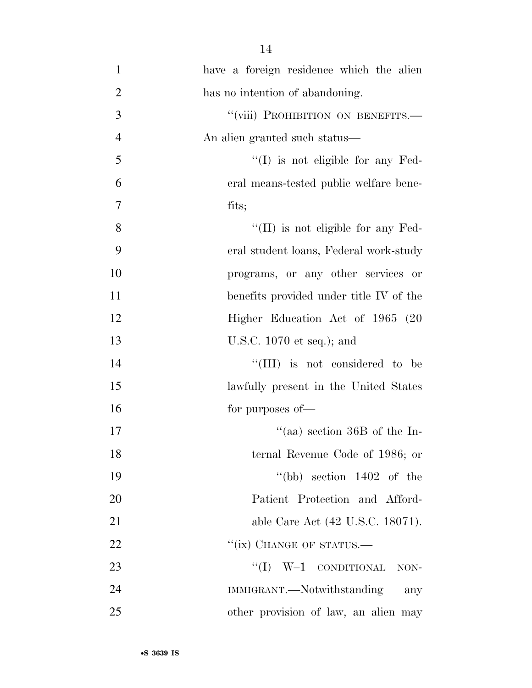| $\mathbf{1}$   | have a foreign residence which the alien   |
|----------------|--------------------------------------------|
| $\overline{2}$ | has no intention of abandoning.            |
| 3              | "(viii) PROHIBITION ON BENEFITS.-          |
| $\overline{4}$ | An alien granted such status—              |
| 5              | $\lq\lq$ (I) is not eligible for any Fed-  |
| 6              | eral means-tested public welfare bene-     |
| $\tau$         | fits;                                      |
| 8              | $\lq\lq$ (II) is not eligible for any Fed- |
| 9              | eral student loans, Federal work-study     |
| 10             | programs, or any other services or         |
| 11             | benefits provided under title IV of the    |
| 12             | Higher Education Act of 1965 (20           |
| 13             | U.S.C. $1070$ et seq.); and                |
| 14             | "(III) is not considered to be             |
| 15             | lawfully present in the United States      |
| 16             | for purposes of—                           |
| 17             | "(aa) section $36B$ of the In-             |
| 18             | ternal Revenue Code of 1986; or            |
| 19             | "(bb) section $1402$ of the                |
| 20             | Patient Protection and Afford-             |
| 21             | able Care Act (42 U.S.C. 18071).           |
| 22             | "(ix) CHANGE OF STATUS.—                   |
| 23             | $``(I)$ W-1 CONDITIONAL<br>NON-            |
| 24             | IMMIGRANT.—Notwithstanding<br>any          |
| 25             | other provision of law, an alien may       |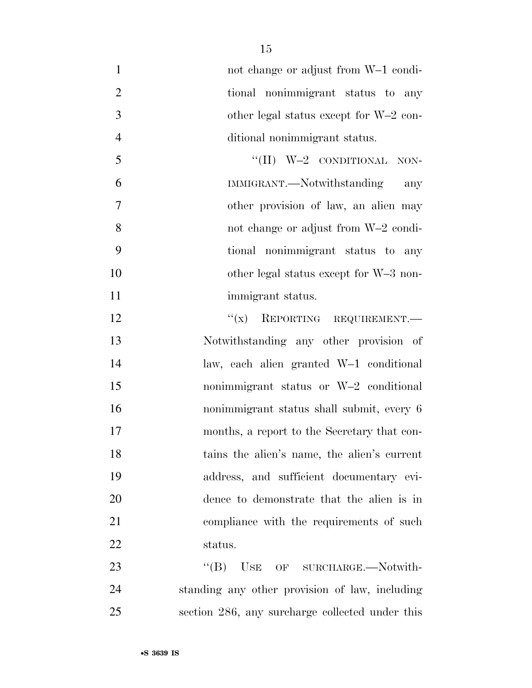| $\mathbf{1}$   | not change or adjust from W-1 condi-            |
|----------------|-------------------------------------------------|
| $\mathbf{2}$   | tional nonimmigrant status to any               |
| 3              | other legal status except for W-2 con-          |
| $\overline{4}$ | ditional nonimmigrant status.                   |
| 5              | "(II) $W-2$ CONDITIONAL NON-                    |
| 6              | IMMIGRANT.—Notwithstanding<br>any               |
| $\overline{7}$ | other provision of law, an alien may            |
| 8              | not change or adjust from W-2 condi-            |
| 9              | tional nonimmigrant status to any               |
| 10             | other legal status except for W-3 non-          |
| 11             | immigrant status.                               |
| 12             | $``(x)$ REPORTING REQUIREMENT.                  |
| 13             | Notwithstanding any other provision of          |
| 14             | law, each alien granted W-1 conditional         |
| 15             | nonimmigrant status or W-2 conditional          |
| 16             | nonimmigrant status shall submit, every 6       |
| 17             | months, a report to the Secretary that con-     |
| 18             | tains the alien's name, the alien's current     |
| 19             | address, and sufficient documentary evi-        |
| 20             | dence to demonstrate that the alien is in       |
| 21             | compliance with the requirements of such        |
| 22             | status.                                         |
| 23             | ``(B)<br>USE OF SURCHARGE.—Notwith-             |
| 24             | standing any other provision of law, including  |
| 25             | section 286, any surcharge collected under this |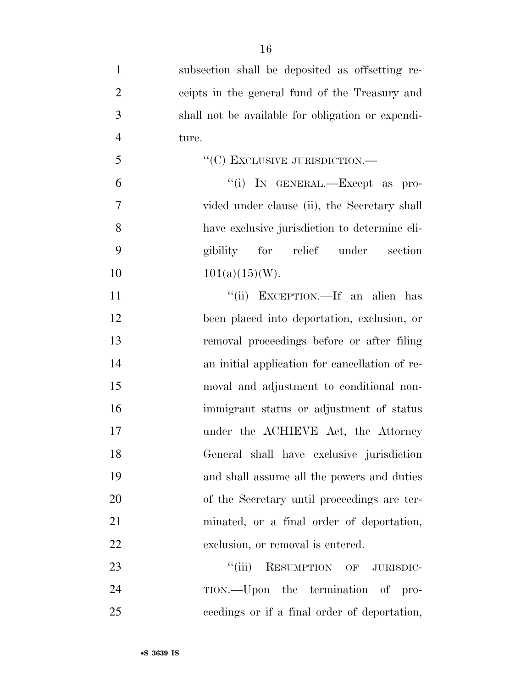| $\mathbf{1}$   | subsection shall be deposited as offsetting re-   |
|----------------|---------------------------------------------------|
| $\overline{2}$ | ceipts in the general fund of the Treasury and    |
| 3              | shall not be available for obligation or expendi- |
| $\overline{4}$ | ture.                                             |
| 5              | "(C) EXCLUSIVE JURISDICTION.-                     |
| 6              | "(i) IN GENERAL.—Except as pro-                   |
| $\overline{7}$ | vided under clause (ii), the Secretary shall      |
| 8              | have exclusive jurisdiction to determine eli-     |
| 9              | gibility for relief under section                 |
| 10             | $101(a)(15)(W)$ .                                 |
| 11             | "(ii) EXCEPTION.—If an alien has                  |
| 12             | been placed into deportation, exclusion, or       |
| 13             | removal proceedings before or after filing        |
| 14             | an initial application for cancellation of re-    |
| 15             | moval and adjustment to conditional non-          |
| 16             | immigrant status or adjustment of status          |
| 17             | under the ACHIEVE Act, the Attorney               |
| 18             | General shall have exclusive jurisdiction         |
| 19             | and shall assume all the powers and duties        |
| 20             | of the Secretary until proceedings are ter-       |
| 21             | minated, or a final order of deportation,         |
| 22             | exclusion, or removal is entered.                 |
| 23             | ``(iii)<br>RESUMPTION OF JURISDIC-                |
| 24             | TION.—Upon the termination of pro-                |
| 25             | ceedings or if a final order of deportation,      |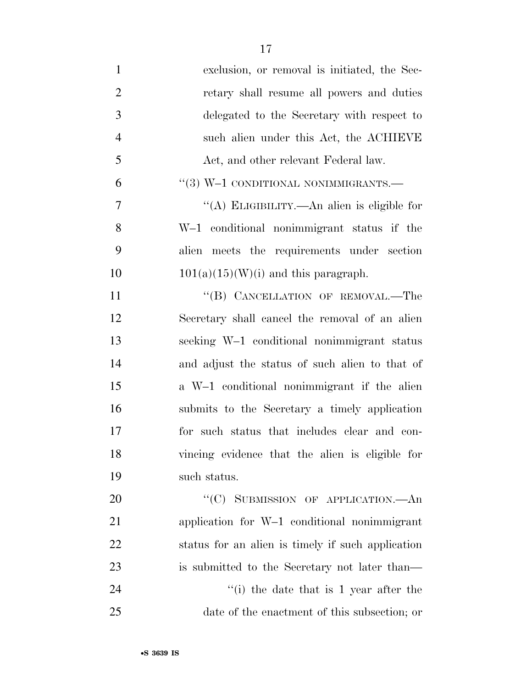| $\mathbf{1}$   | exclusion, or removal is initiated, the Sec-      |
|----------------|---------------------------------------------------|
| $\overline{2}$ | retary shall resume all powers and duties         |
| 3              | delegated to the Secretary with respect to        |
| $\overline{4}$ | such alien under this Act, the ACHIEVE            |
| 5              | Act, and other relevant Federal law.              |
| 6              | $``(3)$ W-1 CONDITIONAL NONIMMIGRANTS.—           |
| 7              | "(A) ELIGIBILITY.—An alien is eligible for        |
| 8              | W-1 conditional nonimmigrant status if the        |
| 9              | alien meets the requirements under section        |
| 10             | $101(a)(15)(W)(i)$ and this paragraph.            |
| 11             | "(B) CANCELLATION OF REMOVAL.—The                 |
| 12             | Secretary shall cancel the removal of an alien    |
| 13             | seeking W-1 conditional nonimmigrant status       |
| 14             | and adjust the status of such alien to that of    |
| 15             | a W-1 conditional nonimmigrant if the alien       |
| 16             | submits to the Secretary a timely application     |
| 17             | for such status that includes clear and con-      |
| 18             | vincing evidence that the alien is eligible for   |
| 19             | such status.                                      |
| 20             | "(C) SUBMISSION OF APPLICATION.—An                |
| 21             | application for W-1 conditional nonimmigrant      |
| 22             | status for an alien is timely if such application |
| 23             | is submitted to the Secretary not later than—     |
| 24             | "(i) the date that is $1$ year after the          |
| 25             | date of the enactment of this subsection; or      |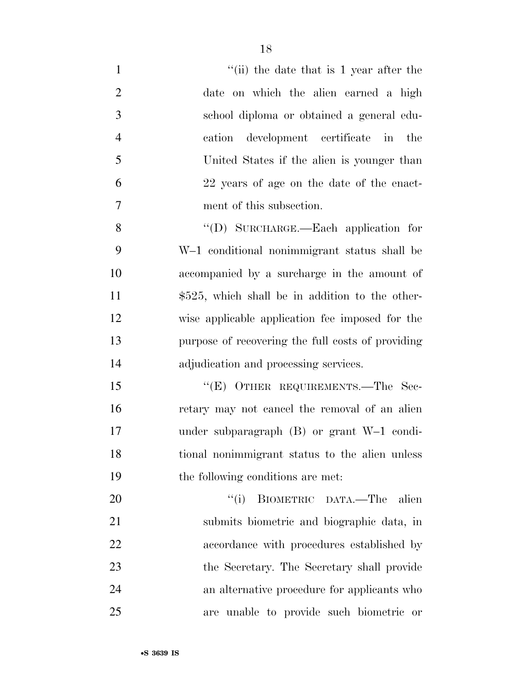| $\mathbf{1}$   | "(ii) the date that is 1 year after the           |
|----------------|---------------------------------------------------|
| $\overline{2}$ | date on which the alien earned a high             |
| 3              | school diploma or obtained a general edu-         |
| $\overline{4}$ | cation development certificate in<br>the          |
| 5              | United States if the alien is younger than        |
| 6              | 22 years of age on the date of the enact-         |
| $\overline{7}$ | ment of this subsection.                          |
| 8              | "(D) SURCHARGE.—Each application for              |
| 9              | W-1 conditional nonimmigrant status shall be      |
| 10             | accompanied by a surcharge in the amount of       |
| 11             | $$525$ , which shall be in addition to the other- |
| 12             | wise applicable application fee imposed for the   |
| 13             | purpose of recovering the full costs of providing |
| 14             | adjudication and processing services.             |
| 15             | "(E) OTHER REQUIREMENTS.—The Sec-                 |
| 16             | retary may not cancel the removal of an alien     |
| 17             | under subparagraph $(B)$ or grant W-1 condi-      |
| 18             | tional nonimmigrant status to the alien unless    |
| 19             | the following conditions are met:                 |
| 20             | BIOMETRIC DATA.—The alien<br>``(i)                |
| 21             | submits biometric and biographic data, in         |
| 22             | accordance with procedures established by         |
| 23             | the Secretary. The Secretary shall provide        |
| 24             | an alternative procedure for applicants who       |
| 25             | are unable to provide such biometric or           |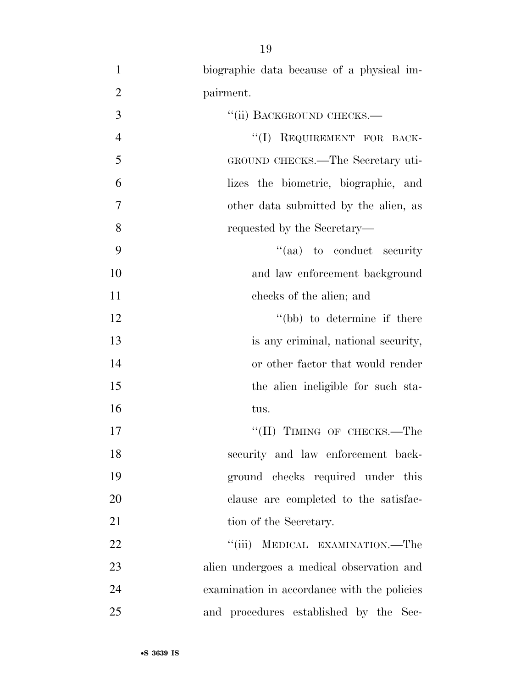1 biographic data because of a physical im-2 pairment. 3 "(ii) BACKGROUND CHECKS.— 4 ''(I) REQUIREMENT FOR BACK-5 GROUND CHECKS.—The Secretary uti-6 lizes the biometric, biographic, and 7 other data submitted by the alien, as 8 requested by the Secretary— 9  $''(aa)$  to conduct security 10 and law enforcement background 11 checks of the alien; and 12 ''(bb) to determine if there 13 is any criminal, national security, 14 or other factor that would render 15 the alien ineligible for such sta-16 tus. 17 ''(II) TIMING OF CHECKS.—The 18 security and law enforcement back-19 ground checks required under this 20 clause are completed to the satisfac-21 tion of the Secretary. 22 "'(iii) MEDICAL EXAMINATION.—The 23 alien undergoes a medical observation and 24 examination in accordance with the policies 25 and procedures established by the Sec-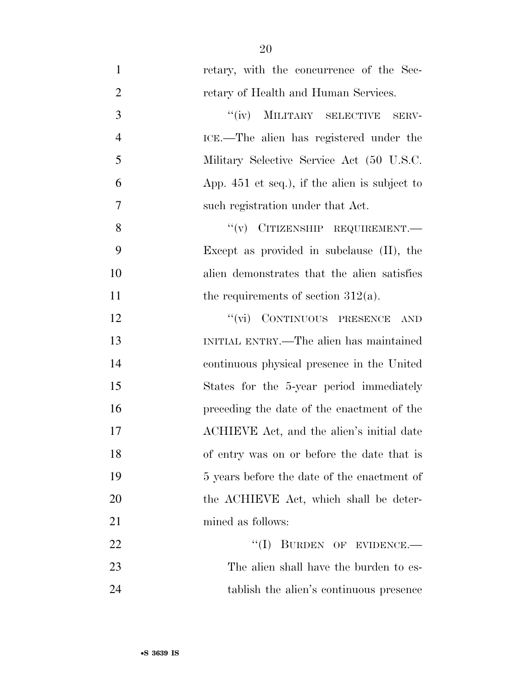1 retary, with the concurrence of the Sec-2 retary of Health and Human Services. 3 "(iv) MILITARY SELECTIVE SERV-4 ICE.—The alien has registered under the 5 Military Selective Service Act (50 U.S.C. 6 App. 451 et seq.), if the alien is subject to 7 such registration under that Act. 8 "(v) CITIZENSHIP REQUIREMENT.— 9 Except as provided in subclause (II), the 10 alien demonstrates that the alien satisfies 11 the requirements of section  $312(a)$ . 12 "(vi) CONTINUOUS PRESENCE AND 13 INITIAL ENTRY.—The alien has maintained 14 continuous physical presence in the United 15 States for the 5-year period immediately 16 preceding the date of the enactment of the 17 ACHIEVE Act, and the alien's initial date 18 of entry was on or before the date that is 19 5 years before the date of the enactment of 20 the ACHIEVE Act, which shall be deter-21 mined as follows: 22 "(I) BURDEN OF EVIDENCE.— 23 The alien shall have the burden to es-24 tablish the alien's continuous presence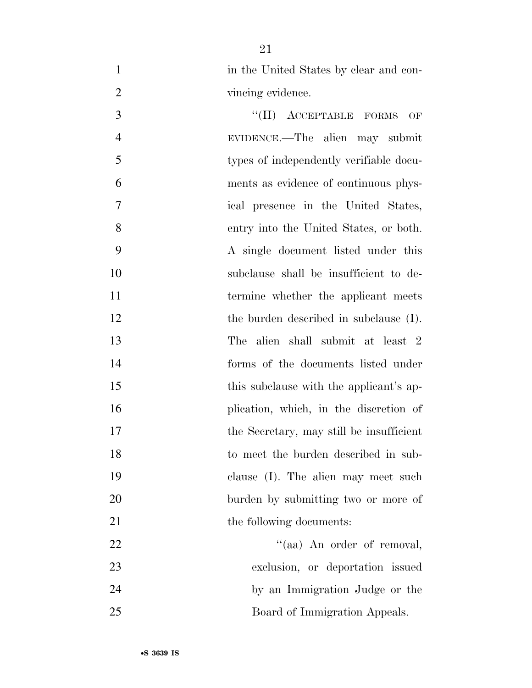1 in the United States by clear and con-2 vincing evidence.

3 "(II) ACCEPTABLE FORMS OF EVIDENCE.—The alien may submit types of independently verifiable docu- ments as evidence of continuous phys- ical presence in the United States, entry into the United States, or both. A single document listed under this subclause shall be insufficient to de-11 termine whether the applicant meets 12 the burden described in subclause (I). The alien shall submit at least 2 forms of the documents listed under 15 this subclause with the applicant's ap- plication, which, in the discretion of 17 the Secretary, may still be insufficient to meet the burden described in sub- clause (I). The alien may meet such burden by submitting two or more of 21 the following documents: 22 ''(aa) An order of removal, exclusion, or deportation issued by an Immigration Judge or the

Board of Immigration Appeals.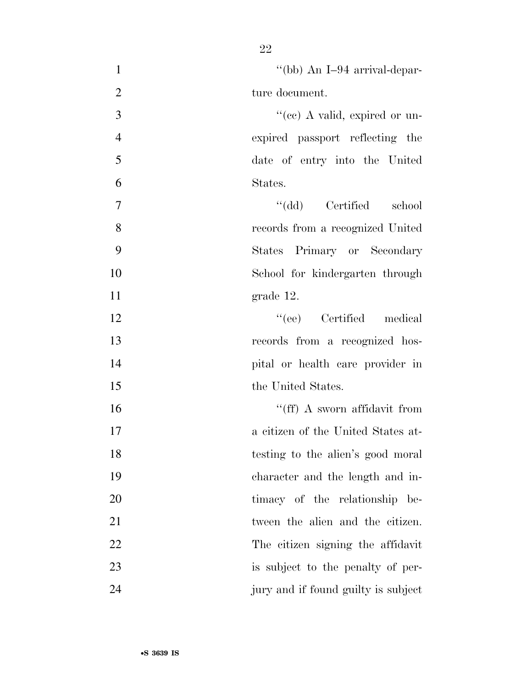| $\mathbf{1}$   | "(bb) An I-94 arrival-depar-        |
|----------------|-------------------------------------|
| $\mathbf{2}$   | ture document.                      |
| 3              | "(cc) A valid, expired or un-       |
| $\overline{4}$ | expired passport reflecting the     |
| 5              | date of entry into the United       |
| 6              | States.                             |
| $\overline{7}$ | "(dd) Certified school              |
| 8              | records from a recognized United    |
| 9              | States Primary or Secondary         |
| 10             | School for kindergarten through     |
| 11             | grade 12.                           |
| 12             | "(ee) Certified medical             |
| 13             | records from a recognized hos-      |
| 14             | pital or health care provider in    |
| 15             | the United States.                  |
| 16             | "(ff) A sworn affidavit from        |
| 17             | a citizen of the United States at-  |
| 18             | testing to the alien's good moral   |
| 19             | character and the length and in-    |
| 20             | timacy of the relationship be-      |
| 21             | tween the alien and the citizen.    |
| 22             | The citizen signing the affidavit   |
| 23             | is subject to the penalty of per-   |
| 24             | jury and if found guilty is subject |

•**S 3639 IS**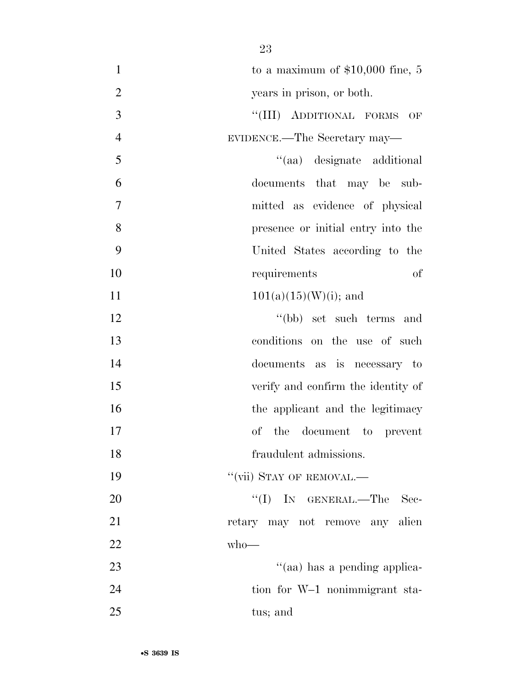| $\mathbf{1}$   | to a maximum of $$10,000$ fine, 5  |
|----------------|------------------------------------|
| $\overline{2}$ | years in prison, or both.          |
| 3              | "(III) ADDITIONAL FORMS OF         |
| $\overline{4}$ | EVIDENCE.—The Secretary may—       |
| 5              | "(aa) designate additional         |
| 6              | documents that may be sub-         |
| 7              | mitted as evidence of physical     |
| 8              | presence or initial entry into the |
| 9              | United States according to the     |
| 10             | requirements<br>of                 |
| 11             | $101(a)(15)(W)(i)$ ; and           |
| 12             | "(bb) set such terms and           |
| 13             | conditions on the use of such      |
| 14             | documents as is necessary to       |
| 15             | verify and confirm the identity of |
| 16             | the applicant and the legitimacy   |
| 17             | the document to<br>of<br>prevent   |
| 18             | fraudulent admissions.             |
| 19             | "(vii) STAY OF REMOVAL.—           |
| 20             | "(I) IN GENERAL.—The<br>Sec-       |
| 21             | retary may not remove any alien    |
| 22             | $who$ —                            |
| 23             | "(aa) has a pending applica-       |
| 24             | tion for W-1 nonimmigrant sta-     |
| 25             | tus; and                           |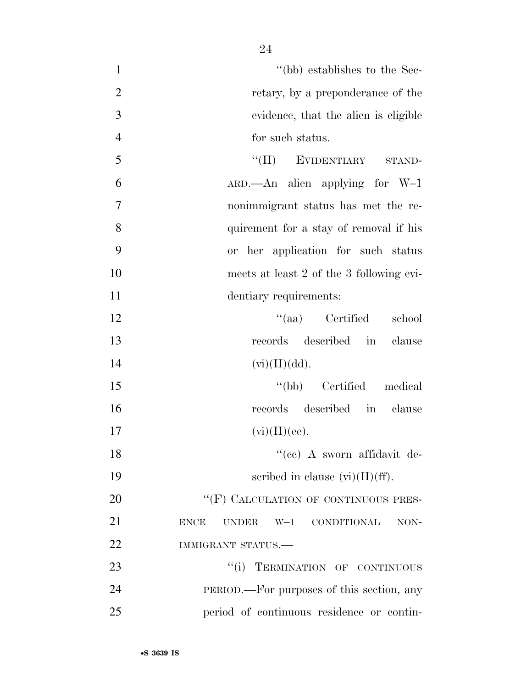- 1  $''(bb)$  establishes to the Sec-2 retary, by a preponderance of the 3 evidence, that the alien is eligible 4 for such status.
- 5 "'(II) EVIDENTIARY STAND-6 ARD.—An alien applying for W–1 7 nonimmigrant status has met the re-8 quirement for a stay of removal if his 9 or her application for such status 10 meets at least 2 of the 3 following evi-11 dentiary requirements:

12 ''(aa) Certified school 13 records described in clause 14  $(vi)(II)(dd).$ 

15 ''(bb) Certified medical 16 records described in clause 17  $(vi)(II)(ee)$ .

18 ''(cc) A sworn affidavit de-19 scribed in clause  $(vi)(II)(ff)$ .

20 "'(F) CALCULATION OF CONTINUOUS PRES-21 ENCE UNDER W–1 CONDITIONAL NON-22 IMMIGRANT STATUS.—

23 "(i) TERMINATION OF CONTINUOUS 24 PERIOD.—For purposes of this section, any 25 period of continuous residence or contin-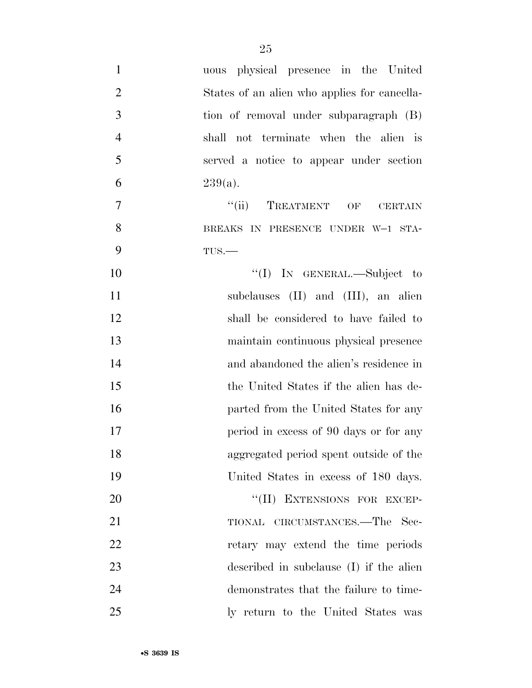| $\mathbf{1}$   | uous physical presence in the United         |
|----------------|----------------------------------------------|
| $\overline{2}$ | States of an alien who applies for cancella- |
| 3              | tion of removal under subparagraph (B)       |
| $\overline{4}$ | shall not terminate when the alien is        |
| 5              | served a notice to appear under section      |
| 6              | $239(a)$ .                                   |
| 7              | "(ii) TREATMENT OF<br><b>CERTAIN</b>         |
| 8              | BREAKS IN PRESENCE UNDER W-1 STA-            |
| 9              | $TUS$ .                                      |
| 10             | "(I) IN GENERAL.—Subject to                  |
| 11             | subclauses (II) and (III), an alien          |
| 12             | shall be considered to have failed to        |
| 13             | maintain continuous physical presence        |
| 14             | and abandoned the alien's residence in       |
| 15             | the United States if the alien has de-       |
| 16             | parted from the United States for any        |
| 17             | period in excess of 90 days or for any       |
| 18             | aggregated period spent outside of the       |
| 19             | United States in excess of 180 days.         |
| 20             | "(II) EXTENSIONS FOR EXCEP-                  |
| 21             | TIONAL CIRCUMSTANCES.—The Sec-               |
| <u>22</u>      | retary may extend the time periods           |
| 23             | described in subclause (I) if the alien      |
| 24             | demonstrates that the failure to time-       |
| 25             | ly return to the United States was           |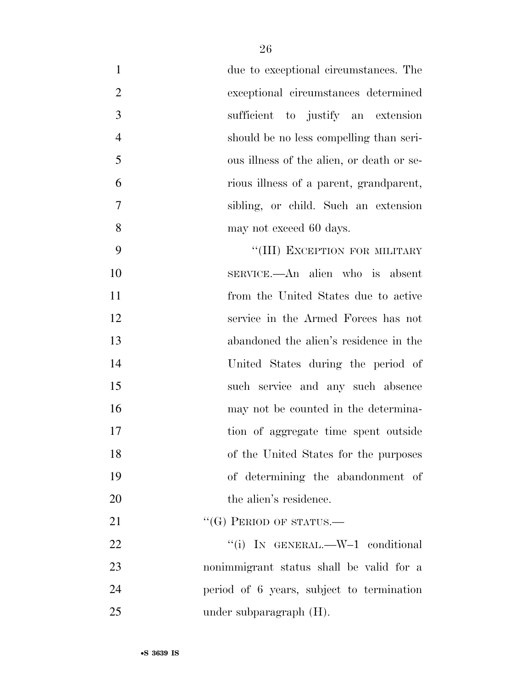| $\mathbf{1}$   | due to exceptional circumstances. The     |
|----------------|-------------------------------------------|
| $\overline{2}$ | exceptional circumstances determined      |
| 3              | sufficient to justify an extension        |
| $\overline{4}$ | should be no less compelling than seri-   |
| 5              | ous illness of the alien, or death or se- |
| 6              | rious illness of a parent, grandparent,   |
| $\overline{7}$ | sibling, or child. Such an extension      |
| 8              | may not exceed 60 days.                   |
| 9              | "(III) EXCEPTION FOR MILITARY             |
| 10             | SERVICE.—An alien who is absent           |
| 11             | from the United States due to active      |
| 12             | service in the Armed Forces has not       |
| 13             | abandoned the alien's residence in the    |
| 14             | United States during the period of        |
| 15             | such service and any such absence         |
| 16             | may not be counted in the determina-      |
| 17             | tion of aggregate time spent outside      |
| 18             | of the United States for the purposes     |
| 19             | of determining the abandonment of         |
| 20             | the alien's residence.                    |
| 21             | $``(G)$ PERIOD OF STATUS.—                |
| 22             | "(i) IN GENERAL.— $W-1$ conditional       |
| 23             | nonimmigrant status shall be valid for a  |
| 24             | period of 6 years, subject to termination |
| 25             | under subparagraph $(H)$ .                |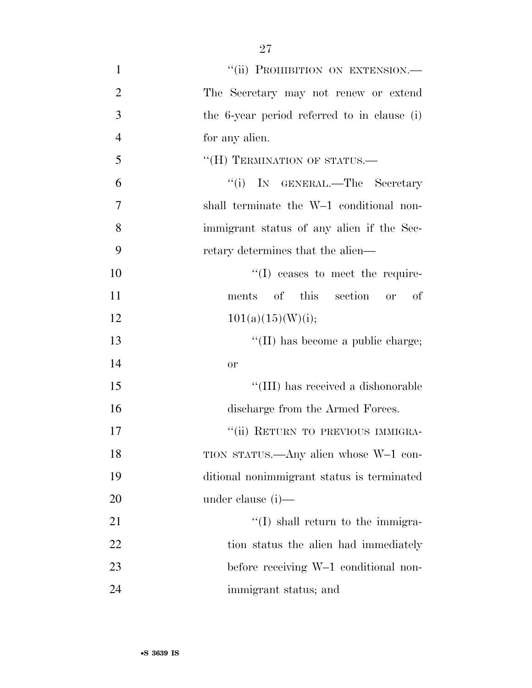1 "(ii) PROHIBITION ON EXTENSION.— The Secretary may not renew or extend the 6-year period referred to in clause (i) for any alien. 5 "(H) TERMINATION OF STATUS.— ''(i) IN GENERAL.—The Secretary shall terminate the W–1 conditional non- immigrant status of any alien if the Sec- retary determines that the alien—  $\text{``(I)}$  ceases to meet the require- ments of this section or of  $101(a)(15)(W)(i);$ 13 ''(II) has become a public charge; 14 or  $\frac{15}{15}$  Text TIII) has received a dishonorable 16 discharge from the Armed Forces. 17 ""(ii) RETURN TO PREVIOUS IMMIGRA- TION STATUS.—Any alien whose W–1 con- ditional nonimmigrant status is terminated under clause (i)— 21 ''(I) shall return to the immigra-22 tion status the alien had immediately before receiving W–1 conditional non-immigrant status; and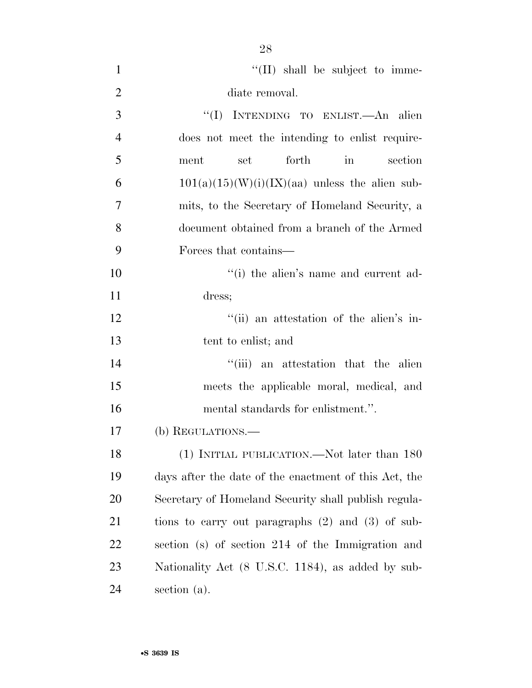| $\mathbf{1}$   | $\lq\lq$ (II) shall be subject to imme-                |
|----------------|--------------------------------------------------------|
| $\overline{2}$ | diate removal.                                         |
| 3              | "(I) INTENDING TO ENLIST.—An alien                     |
| $\overline{4}$ | does not meet the intending to enlist require-         |
| 5              | forth<br>ment<br>set<br>$\operatorname{in}$<br>section |
| 6              | $101(a)(15)(W)(i)(IX)(aa)$ unless the alien sub-       |
| 7              | mits, to the Secretary of Homeland Security, a         |
| 8              | document obtained from a branch of the Armed           |
| 9              | Forces that contains—                                  |
| 10             | "(i) the alien's name and current ad-                  |
| 11             | dress;                                                 |
| 12             | "(ii) an attestation of the alien's in-                |
| 13             | tent to enlist; and                                    |
| 14             | "(iii) an attestation that the alien                   |
| 15             | meets the applicable moral, medical, and               |
| 16             | mental standards for enlistment.".                     |
| 17             | (b) REGULATIONS.                                       |
| 18             | (1) INITIAL PUBLICATION.—Not later than 180            |
| 19             | days after the date of the enactment of this Act, the  |
| 20             | Secretary of Homeland Security shall publish regula-   |
| 21             | tions to carry out paragraphs $(2)$ and $(3)$ of sub-  |
| 22             | section (s) of section 214 of the Immigration and      |
| 23             | Nationality Act (8 U.S.C. 1184), as added by sub-      |
| 24             | section (a).                                           |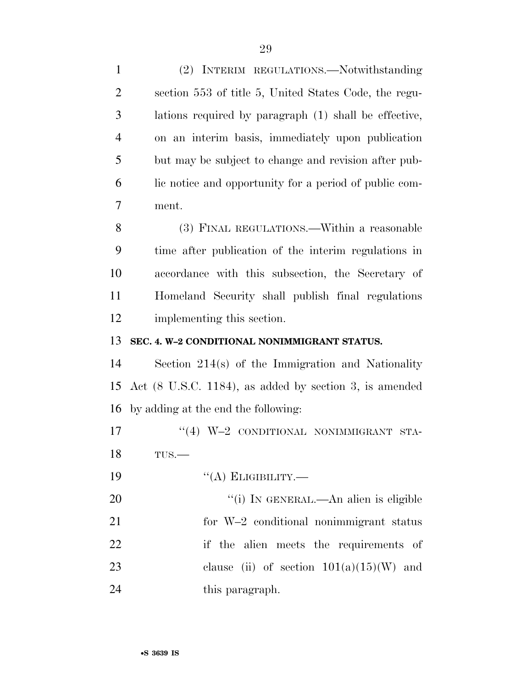(2) INTERIM REGULATIONS.—Notwithstanding section 553 of title 5, United States Code, the regu- lations required by paragraph (1) shall be effective, on an interim basis, immediately upon publication but may be subject to change and revision after pub- lic notice and opportunity for a period of public com- ment. (3) FINAL REGULATIONS.—Within a reasonable time after publication of the interim regulations in accordance with this subsection, the Secretary of Homeland Security shall publish final regulations implementing this section. **SEC. 4. W–2 CONDITIONAL NONIMMIGRANT STATUS.**  Section 214(s) of the Immigration and Nationality Act (8 U.S.C. 1184), as added by section 3, is amended by adding at the end the following:  $\text{``(4)}$  W-2 CONDITIONAL NONIMMIGRANT STA- TUS.— 19 "(A) ELIGIBILITY.—  $\frac{1}{1}$  In GENERAL.—An alien is eligible for W–2 conditional nonimmigrant status if the alien meets the requirements of 23 clause (ii) of section  $101(a)(15)(W)$  and 24 this paragraph.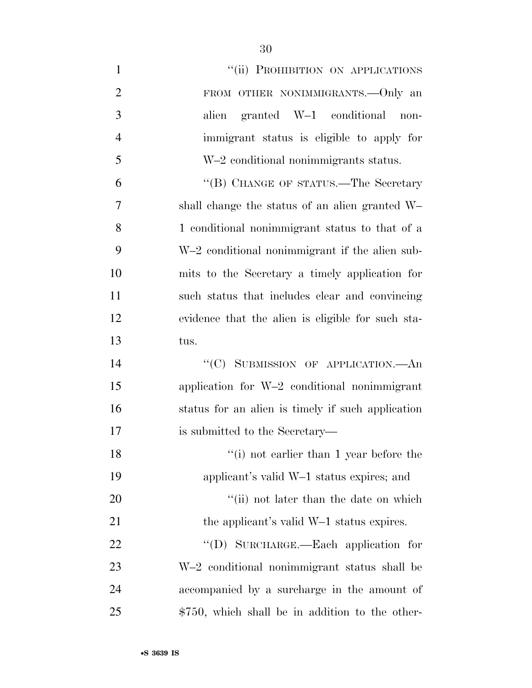| $\mathbf{1}$   | "(ii) PROHIBITION ON APPLICATIONS                 |
|----------------|---------------------------------------------------|
| $\overline{2}$ | FROM OTHER NONIMMIGRANTS. - Only an               |
| 3              | granted W-1 conditional<br>alien<br>non-          |
| $\overline{4}$ | immigrant status is eligible to apply for         |
| 5              | W-2 conditional nonimmigrants status.             |
| 6              | "(B) CHANGE OF STATUS.—The Secretary              |
| $\overline{7}$ | shall change the status of an alien granted W-    |
| 8              | 1 conditional nonimmigrant status to that of a    |
| 9              | W-2 conditional nonimmigrant if the alien sub-    |
| 10             | mits to the Secretary a timely application for    |
| 11             | such status that includes clear and convincing    |
| 12             | evidence that the alien is eligible for such sta- |
| 13             | tus.                                              |
| 14             | "(C) SUBMISSION OF APPLICATION.—An                |
| 15             | application for W-2 conditional nonimmigrant      |
| 16             | status for an alien is timely if such application |
| 17             | is submitted to the Secretary—                    |
| 18             | $"$ (i) not earlier than 1 year before the        |
| 19             | applicant's valid W-1 status expires; and         |
| 20             | "(ii) not later than the date on which            |
| 21             | the applicant's valid W-1 status expires.         |
| 22             | "(D) SURCHARGE.—Each application for              |
| 23             | W-2 conditional nonimmigrant status shall be      |
| 24             | accompanied by a surcharge in the amount of       |
| 25             | $$750$ , which shall be in addition to the other- |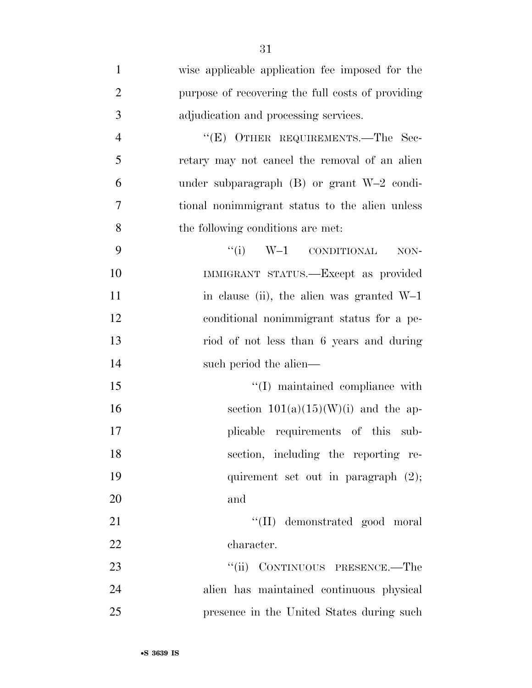| $\mathbf{1}$   | wise applicable application fee imposed for the        |
|----------------|--------------------------------------------------------|
| $\overline{2}$ | purpose of recovering the full costs of providing      |
| 3              | adjudication and processing services.                  |
| $\overline{4}$ | "(E) OTHER REQUIREMENTS.—The Sec-                      |
| 5              | retary may not cancel the removal of an alien          |
| 6              | under subparagraph $(B)$ or grant W-2 condi-           |
| 7              | tional nonimmigrant status to the alien unless         |
| 8              | the following conditions are met:                      |
| 9              | $``(i) \quad W-1 \quad \text{convolutional}$<br>$NON-$ |
| 10             | IMMIGRANT STATUS.—Except as provided                   |
| 11             | in clause (ii), the alien was granted $W-1$            |
| 12             | conditional nonimmigrant status for a pe-              |
| 13             | riod of not less than 6 years and during               |
| 14             | such period the alien—                                 |
| 15             | "(I) maintained compliance with                        |
| 16             | section $101(a)(15)(W)(i)$ and the ap-                 |
| 17             | plicable requirements of this sub-                     |
| 18             | section, including the reporting re-                   |
| 19             | quirement set out in paragraph $(2)$ ;                 |
| 20             | and                                                    |
| 21             | "(II) demonstrated good moral                          |
| 22             | character.                                             |
| 23             | CONTINUOUS PRESENCE.—The<br>``(ii)                     |
| 24             | alien has maintained continuous physical               |
| 25             | presence in the United States during such              |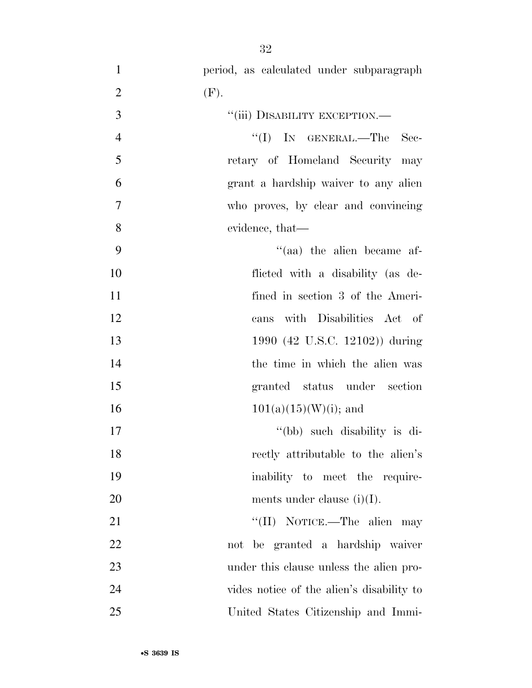| $\mathbf{1}$   | period, as calculated under subparagraph  |
|----------------|-------------------------------------------|
| $\mathbf{2}$   | (F).                                      |
| 3              | "(iii) DISABILITY EXCEPTION.—             |
| $\overline{4}$ | "(I) IN GENERAL.—The Sec-                 |
| 5              | retary of Homeland Security may           |
| 6              | grant a hardship waiver to any alien      |
| $\overline{7}$ | who proves, by clear and convincing       |
| 8              | evidence, that—                           |
| 9              | $\cdot$ (aa) the alien became af-         |
| 10             | flicted with a disability (as de-         |
| 11             | fined in section 3 of the Ameri-          |
| 12             | cans with Disabilities Act of             |
| 13             | 1990 (42 U.S.C. 12102)) during            |
| 14             | the time in which the alien was           |
| 15             | granted status under section              |
| 16             | $101(a)(15)(W)(i)$ ; and                  |
| 17             | "(bb) such disability is di-              |
| 18             | rectly attributable to the alien's        |
| 19             | inability to meet the require-            |
| 20             | ments under clause $(i)(I)$ .             |
| 21             | "(II) NOTICE.—The alien may               |
| 22             | not be granted a hardship waiver          |
| 23             | under this clause unless the alien pro-   |
| 24             | vides notice of the alien's disability to |
| 25             | United States Citizenship and Immi-       |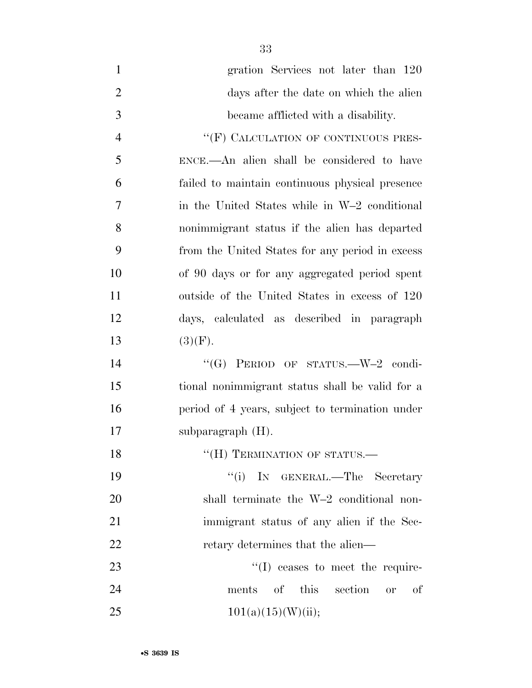gration Services not later than 120 days after the date on which the alien became afflicted with a disability. 4 "(F) CALCULATION OF CONTINUOUS PRES- ENCE.—An alien shall be considered to have failed to maintain continuous physical presence in the United States while in W–2 conditional nonimmigrant status if the alien has departed from the United States for any period in excess of 90 days or for any aggregated period spent outside of the United States in excess of 120 days, calculated as described in paragraph 13  $(3)(F)$ . 14 "(G) PERIOD OF STATUS.—W–2 condi- tional nonimmigrant status shall be valid for a period of 4 years, subject to termination under subparagraph (H). 18 "(H) TERMINATION OF STATUS.— 19 ''(i) IN GENERAL.—The Secretary shall terminate the W–2 conditional non-immigrant status of any alien if the Sec-

23 ''(I) ceases to meet the require- ments of this section or of 25  $101(a)(15)(W)(ii);$ 

22 retary determines that the alien—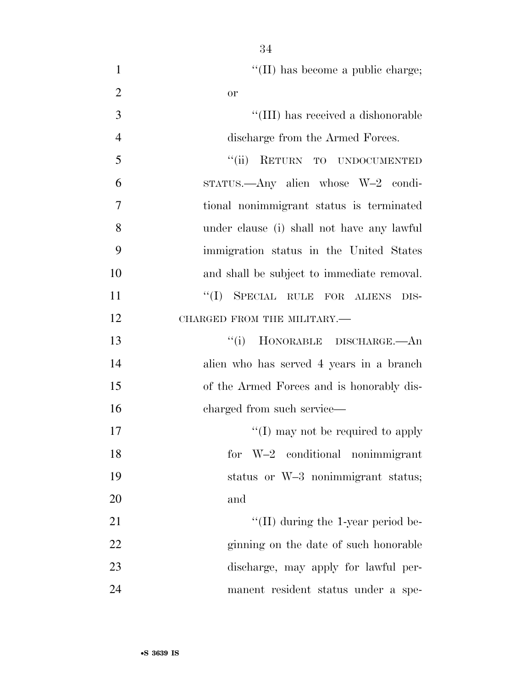| $\mathbf{1}$   | "(II) has become a public charge;          |
|----------------|--------------------------------------------|
| $\overline{2}$ | <b>or</b>                                  |
| 3              | "(III) has received a dishonorable         |
| $\overline{4}$ | discharge from the Armed Forces.           |
| 5              | "(ii) RETURN TO UNDOCUMENTED               |
| 6              | STATUS.—Any alien whose W-2 condi-         |
| 7              | tional nonimmigrant status is terminated   |
| 8              | under clause (i) shall not have any lawful |
| 9              | immigration status in the United States    |
| 10             | and shall be subject to immediate removal. |
| 11             | "(I) SPECIAL RULE FOR ALIENS DIS-          |
| 12             | CHARGED FROM THE MILITARY.                 |
| 13             | HONORABLE DISCHARGE. An<br>``(i)           |
| 14             | alien who has served 4 years in a branch   |
| 15             | of the Armed Forces and is honorably dis-  |
| 16             | charged from such service—                 |
| 17             | "(I) may not be required to apply          |
| 18             | for $W-2$ conditional nonimmigrant         |
| 19             | status or W-3 nonimmigrant status;         |
| 20             | and                                        |
| 21             | $\lq\lq$ (II) during the 1-year period be- |
| 22             | ginning on the date of such honorable      |
| 23             | discharge, may apply for lawful per-       |
| 24             | manent resident status under a spe-        |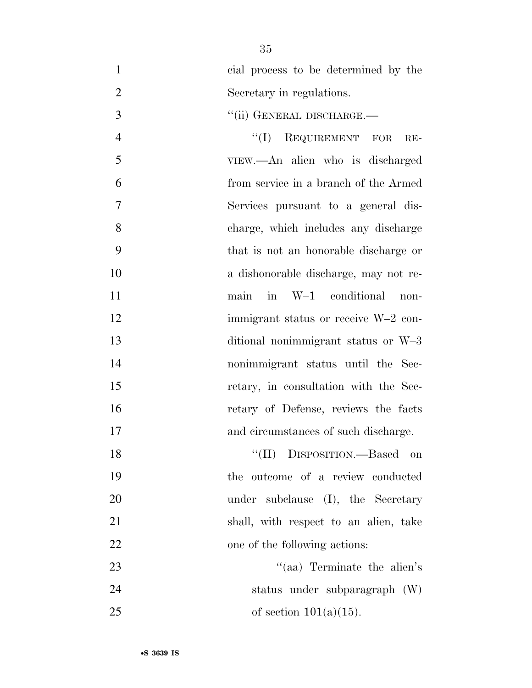| $\mathbf{1}$   | cial process to be determined by the  |
|----------------|---------------------------------------|
| $\overline{2}$ | Secretary in regulations.             |
| 3              | "(ii) GENERAL DISCHARGE.—             |
| $\overline{4}$ | ``(I)<br>REQUIREMENT FOR<br>RE-       |
| 5              | VIEW.—An alien who is discharged      |
| 6              | from service in a branch of the Armed |
| $\overline{7}$ | Services pursuant to a general dis-   |
| 8              | charge, which includes any discharge  |
| 9              | that is not an honorable discharge or |
| 10             | a dishonorable discharge, may not re- |
| 11             | main in W-1 conditional<br>non-       |
| 12             | immigrant status or receive W-2 con-  |
| 13             | ditional nonimmigrant status or W-3   |
| 14             | nonimmigrant status until the Sec-    |
| 15             | retary, in consultation with the Sec- |
| 16             | retary of Defense, reviews the facts  |
| 17             | and circumstances of such discharge.  |
| 18             | "(II) DISPOSITION.—Based on           |
| 19             | the outcome of a review conducted     |
| 20             | under subclause (I), the Secretary    |
| 21             | shall, with respect to an alien, take |
| 22             | one of the following actions:         |
| 23             | "(aa) Terminate the alien's           |
| 24             | status under subparagraph (W)         |
| 25             | of section $101(a)(15)$ .             |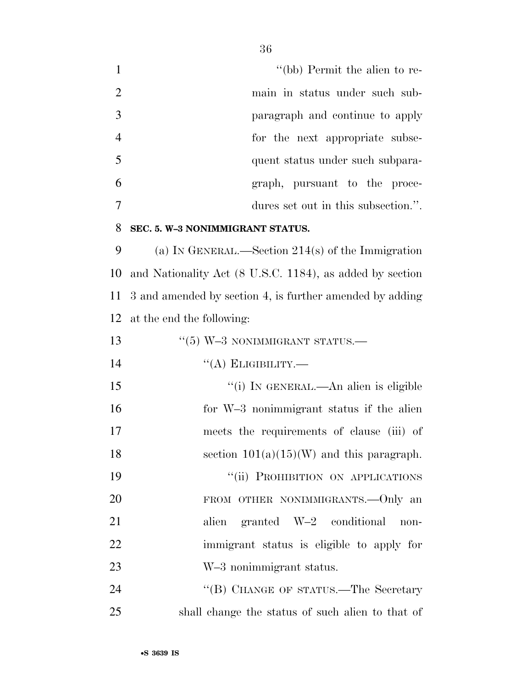1 ''(bb) Permit the alien to re- main in status under such sub- paragraph and continue to apply for the next appropriate subse- quent status under such subpara- graph, pursuant to the proce-dures set out in this subsection.''.

#### **SEC. 5. W–3 NONIMMIGRANT STATUS.**

 (a) IN GENERAL.—Section 214(s) of the Immigration and Nationality Act (8 U.S.C. 1184), as added by section 3 and amended by section 4, is further amended by adding at the end the following:

| 13 | $\cdot\cdot$ (5) W-3 NONIMMIGRANT STATUS.—  |
|----|---------------------------------------------|
| 14 | $\lq\lq$ (A) ELIGIBILITY.—                  |
| 15 | "(i) IN GENERAL.—An alien is eligible       |
| 16 | for W-3 nonimmigrant status if the alien    |
| 17 | meets the requirements of clause (iii) of   |
| 18 | section $101(a)(15)(W)$ and this paragraph. |
| 19 | "(ii) PROHIBITION ON APPLICATIONS           |
| 20 | FROM OTHER NONIMMIGRANTS. - Only an         |
| 21 | alien granted W-2 conditional<br>non-       |
| 22 | immigrant status is eligible to apply for   |
| 23 | W-3 nonimmigrant status.                    |
| 24 | "(B) CHANGE OF STATUS.—The Secretary        |
|    |                                             |

shall change the status of such alien to that of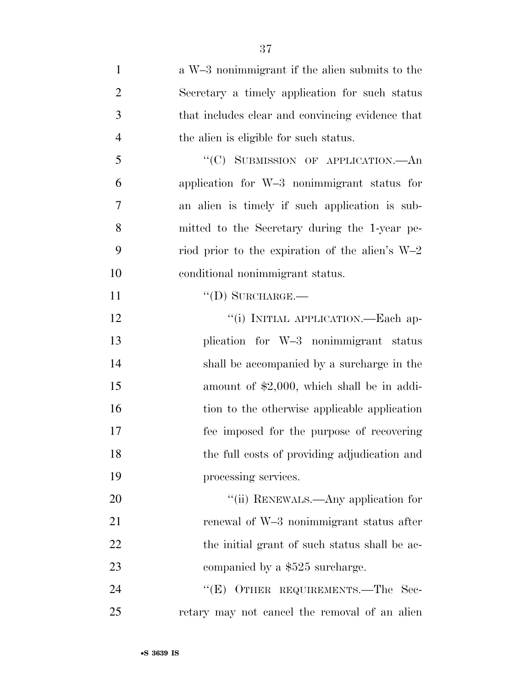| $\mathbf{1}$   | a W-3 nonimmigrant if the alien submits to the    |
|----------------|---------------------------------------------------|
| $\overline{2}$ | Secretary a timely application for such status    |
| 3              | that includes clear and convincing evidence that  |
| $\overline{4}$ | the alien is eligible for such status.            |
| 5              | "(C) SUBMISSION OF APPLICATION.—An                |
| 6              | application for W-3 nonimmigrant status for       |
| 7              | an alien is timely if such application is sub-    |
| 8              | mitted to the Secretary during the 1-year pe-     |
| 9              | riod prior to the expiration of the alien's $W-2$ |
| 10             | conditional nonimmigrant status.                  |
| 11             | $\lq\lq$ (D) SURCHARGE.—                          |
| 12             | "(i) INITIAL APPLICATION.—Each ap-                |
| 13             | plication for W-3 nonimmigrant status             |
| 14             | shall be accompanied by a surcharge in the        |
| 15             | amount of $$2,000$ , which shall be in addi-      |
| 16             | tion to the otherwise applicable application      |
| 17             | fee imposed for the purpose of recovering         |
| 18             | the full costs of providing adjudication and      |
| 19             | processing services.                              |
| 20             | "(ii) RENEWALS.—Any application for               |
| 21             | renewal of W-3 nonimmigrant status after          |
| 22             | the initial grant of such status shall be ac-     |
| 23             | companied by a \$525 surcharge.                   |
| 24             | "(E) OTHER REQUIREMENTS.—The Sec-                 |
| 25             | retary may not cancel the removal of an alien     |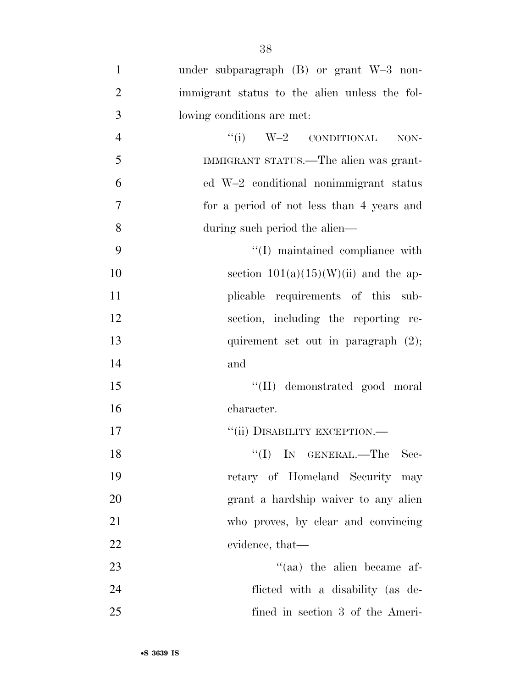| $\mathbf{1}$   | under subparagraph $(B)$ or grant $W-3$ non-  |
|----------------|-----------------------------------------------|
| $\overline{2}$ | immigrant status to the alien unless the fol- |
| 3              | lowing conditions are met:                    |
| $\overline{4}$ | $``(i) \tW-2 \tconv1$<br>NON-                 |
| 5              | IMMIGRANT STATUS.—The alien was grant-        |
| 6              | ed W-2 conditional nonimmigrant status        |
| 7              | for a period of not less than 4 years and     |
| 8              | during such period the alien—                 |
| 9              | "(I) maintained compliance with               |
| 10             | section $101(a)(15)(W)(ii)$ and the ap-       |
| 11             | plicable requirements of this sub-            |
| 12             | section, including the reporting re-          |
| 13             | quirement set out in paragraph $(2)$ ;        |
| 14             | and                                           |
| 15             | "(II) demonstrated good moral                 |
| 16             | character.                                    |
| 17             | "(ii) DISABILITY EXCEPTION.-                  |
| 18             | $\lq\lq$ (I) IN GENERAL.—The Sec-             |
| 19             | retary of Homeland Security may               |
| 20             | grant a hardship waiver to any alien          |
| 21             | who proves, by clear and convincing           |
| 22             | evidence, that—                               |
| 23             | $\cdot$ (aa) the alien became af-             |
| 24             | flicted with a disability (as de-             |
| 25             | fined in section 3 of the Ameri-              |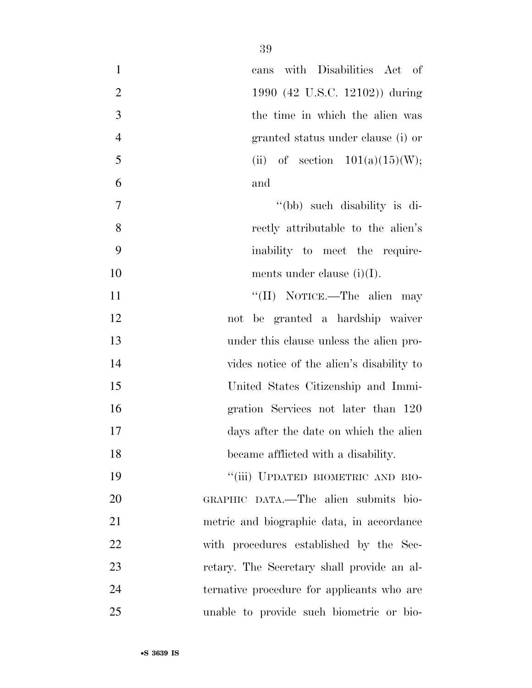| $\mathbf{1}$   | cans with Disabilities Act of              |
|----------------|--------------------------------------------|
| $\overline{2}$ | 1990 (42 U.S.C. 12102)) during             |
| 3              | the time in which the alien was            |
| $\overline{4}$ | granted status under clause (i) or         |
| 5              | (ii) of section $101(a)(15)(W)$ ;          |
| 6              | and                                        |
| $\overline{7}$ | "(bb) such disability is di-               |
| 8              | rectly attributable to the alien's         |
| 9              | inability to meet the require-             |
| 10             | ments under clause $(i)(I)$ .              |
| 11             | "(II) NOTICE.—The alien may                |
| 12             | not be granted a hardship waiver           |
| 13             | under this clause unless the alien pro-    |
| 14             | vides notice of the alien's disability to  |
| 15             | United States Citizenship and Immi-        |
| 16             | gration Services not later than 120        |
| 17             | days after the date on which the alien     |
| 18             | became afflicted with a disability.        |
| 19             | "(iii) UPDATED BIOMETRIC AND BIO-          |
| 20             | GRAPHIC DATA.—The alien submits bio-       |
| 21             | metric and biographic data, in accordance  |
| 22             | with procedures established by the Sec-    |
| 23             | retary. The Secretary shall provide an al- |
| 24             | ternative procedure for applicants who are |
| 25             | unable to provide such biometric or bio-   |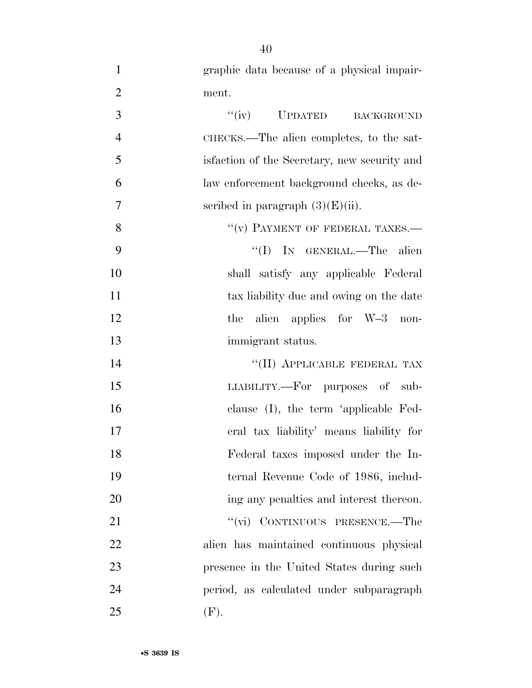graphic data because of a physical impair-ment.

| 3              | "(iv) UPDATED BACKGROUND                      |
|----------------|-----------------------------------------------|
| $\overline{4}$ | CHECKS.—The alien completes, to the sat-      |
| 5              | is faction of the Secretary, new security and |
| 6              | law enforcement background checks, as de-     |
| 7              | scribed in paragraph $(3)(E)(ii)$ .           |
| 8              | $``(v)$ PAYMENT OF FEDERAL TAXES.—            |
| 9              | "(I) IN GENERAL.—The alien                    |
| 10             | shall satisfy any applicable Federal          |
| 11             | tax liability due and owing on the date       |
| 12             | the alien applies for $W-3$ non-              |
| 13             | immigrant status.                             |
| 14             | "(II) APPLICABLE FEDERAL TAX                  |
| 15             | LIABILITY.—For purposes of sub-               |
| 16             | clause (I), the term 'applicable Fed-         |
| 17             | eral tax liability' means liability for       |
| 18             | Federal taxes imposed under the In-           |
| 19             | ternal Revenue Code of 1986, includ-          |
| 20             | ing any penalties and interest thereon.       |
| 21             | "(vi) CONTINUOUS PRESENCE.—The                |
| 22             | alien has maintained continuous physical      |
| 23             | presence in the United States during such     |
| 24             | period, as calculated under subparagraph      |
| 25             | (F).                                          |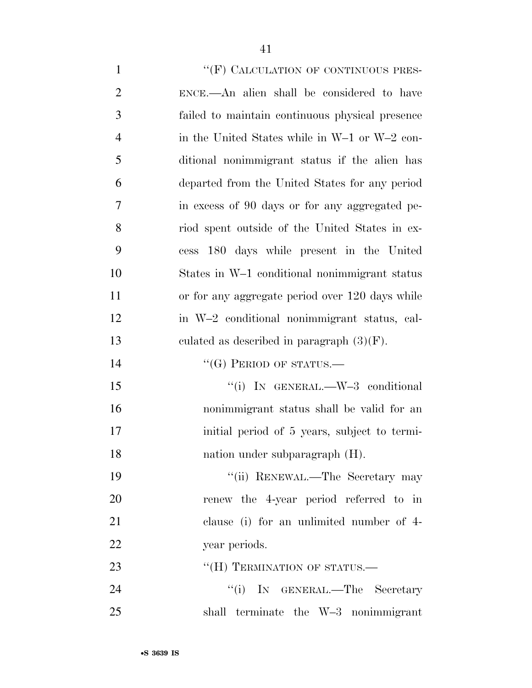1 "'(F) CALCULATION OF CONTINUOUS PRES- ENCE.—An alien shall be considered to have failed to maintain continuous physical presence in the United States while in W–1 or W–2 con- ditional nonimmigrant status if the alien has departed from the United States for any period in excess of 90 days or for any aggregated pe- riod spent outside of the United States in ex- cess 180 days while present in the United States in W–1 conditional nonimmigrant status 11 or for any aggregate period over 120 days while in W–2 conditional nonimmigrant status, cal- culated as described in paragraph (3)(F). 14 "(G) PERIOD OF STATUS.— 15 "(i) IN GENERAL.—W-3 conditional nonimmigrant status shall be valid for an initial period of 5 years, subject to termi- nation under subparagraph (H). 19 ''(ii) RENEWAL.—The Secretary may renew the 4-year period referred to in clause (i) for an unlimited number of 4- 22 year periods. 23 "(H) TERMINATION OF STATUS.— 24 ''(i) IN GENERAL.—The Secretary shall terminate the W–3 nonimmigrant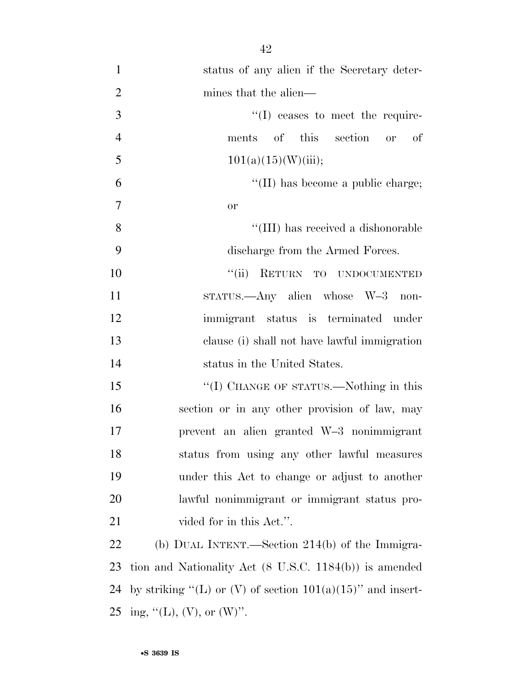| $\mathbf{1}$   | status of any alien if the Secretary deter-   |
|----------------|-----------------------------------------------|
| $\overline{2}$ | mines that the alien—                         |
| 3              | $\lq\lq$ (I) ceases to meet the require-      |
| $\overline{4}$ | of this section or of<br>ments                |
| 5              | 101(a)(15)(W)(iii);                           |
| 6              | $\lq\lq$ (II) has become a public charge;     |
| 7              | <b>or</b>                                     |
| 8              | "(III) has received a dishonorable            |
| 9              | discharge from the Armed Forces.              |
| 10             | ``(ii)<br>RETURN TO UNDOCUMENTED              |
| 11             | STATUS.—Any alien whose W-3<br>non-           |
| 12             | immigrant status is terminated under          |
| 13             | clause (i) shall not have lawful immigration  |
| 14             | status in the United States.                  |
| 15             | "(I) CHANGE OF STATUS.—Nothing in this        |
| 16             | section or in any other provision of law, may |
| 17             | prevent an alien granted W-3 nonimmigrant     |
| 18             | status from using any other lawful measures   |
| 19             | under this Act to change or adjust to another |
| 20             | lawful nonimmigrant or immigrant status pro-  |
| 21             | vided for in this Act.".                      |

 (b) DUAL INTENT.—Section 214(b) of the Immigra- tion and Nationality Act (8 U.S.C. 1184(b)) is amended 24 by striking "(L) or (V) of section  $101(a)(15)$ " and insert-25 ing, "(L), (V), or (W)".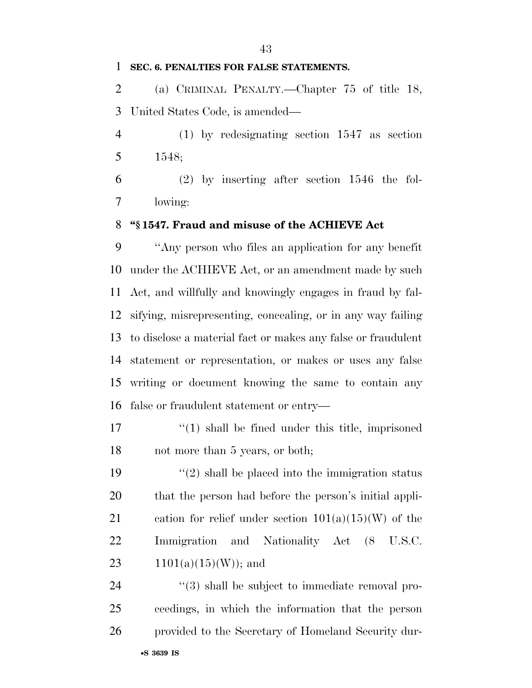#### **SEC. 6. PENALTIES FOR FALSE STATEMENTS.**

 (a) CRIMINAL PENALTY.—Chapter 75 of title 18, United States Code, is amended—

 (1) by redesignating section 1547 as section 1548;

 (2) by inserting after section 1546 the fol-lowing:

#### **''§ 1547. Fraud and misuse of the ACHIEVE Act**

 ''Any person who files an application for any benefit under the ACHIEVE Act, or an amendment made by such Act, and willfully and knowingly engages in fraud by fal- sifying, misrepresenting, concealing, or in any way failing to disclose a material fact or makes any false or fraudulent statement or representation, or makes or uses any false writing or document knowing the same to contain any false or fraudulent statement or entry—

17 ''(1) shall be fined under this title, imprisoned 18 not more than 5 years, or both;

 $\frac{1}{2}$  shall be placed into the immigration status that the person had before the person's initial appli-21 cation for relief under section  $101(a)(15)(W)$  of the Immigration and Nationality Act (8 U.S.C.  $1101(a)(15)(W)$ ; and

24  $(3)$  shall be subject to immediate removal pro- ceedings, in which the information that the person provided to the Secretary of Homeland Security dur-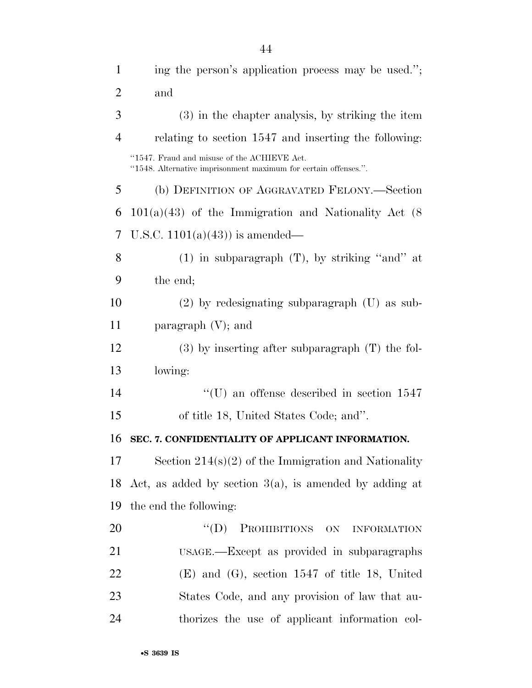| $\mathbf{1}$   | ing the person's application process may be used.";                                                            |
|----------------|----------------------------------------------------------------------------------------------------------------|
| 2              | and                                                                                                            |
| 3              | (3) in the chapter analysis, by striking the item                                                              |
| $\overline{4}$ | relating to section 1547 and inserting the following:                                                          |
|                | "1547. Fraud and misuse of the ACHIEVE Act.<br>"1548. Alternative imprisonment maximum for certain offenses.". |
| 5              | (b) DEFINITION OF AGGRAVATED FELONY.—Section                                                                   |
| 6              | $101(a)(43)$ of the Immigration and Nationality Act $(8)$                                                      |
| 7              | U.S.C. $1101(a)(43)$ is amended—                                                                               |
| 8              | $(1)$ in subparagraph $(T)$ , by striking "and" at                                                             |
| 9              | the end;                                                                                                       |
| 10             | $(2)$ by redesignating subparagraph $(U)$ as sub-                                                              |
| 11             | paragraph $(V)$ ; and                                                                                          |
| 12             | $(3)$ by inserting after subparagraph $(T)$ the fol-                                                           |
| 13             | lowing:                                                                                                        |
| 14             | $\lq\lq$ (U) an offense described in section 1547                                                              |
| 15             | of title 18, United States Code; and".                                                                         |
| 16             | SEC. 7. CONFIDENTIALITY OF APPLICANT INFORMATION.                                                              |
| 17             | Section $214(s)(2)$ of the Immigration and Nationality                                                         |
| 18             | Act, as added by section $3(a)$ , is amended by adding at                                                      |
| 19             | the end the following:                                                                                         |
| 20             | PROHIBITIONS ON INFORMATION<br>$\lq\lq (D)$                                                                    |
| 21             | USAGE.—Except as provided in subparagraphs                                                                     |
| 22             | $(E)$ and $(G)$ , section 1547 of title 18, United                                                             |
| 23             | States Code, and any provision of law that au-                                                                 |
| 24             | thorizes the use of applicant information col-                                                                 |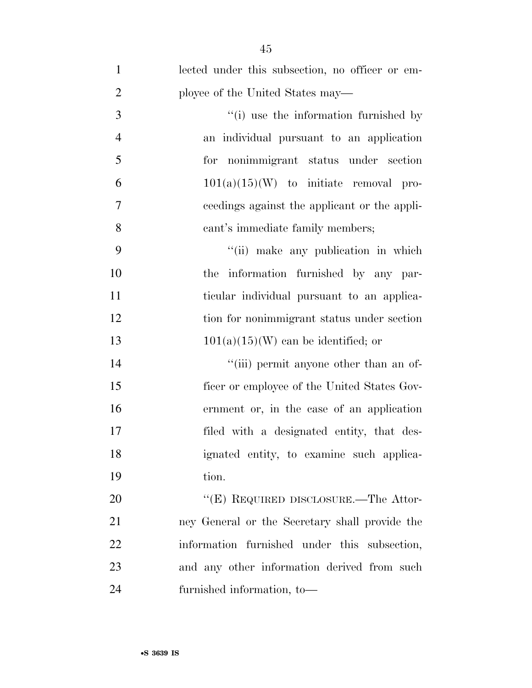| $\mathbf{1}$   | lected under this subsection, no officer or em- |
|----------------|-------------------------------------------------|
| $\overline{2}$ | ployee of the United States may—                |
| 3              | "(i) use the information furnished by           |
| $\overline{4}$ | an individual pursuant to an application        |
| 5              | for nonimmigrant status under section           |
| 6              | $101(a)(15)(W)$ to initiate removal pro-        |
| 7              | ceedings against the applicant or the appli-    |
| 8              | cant's immediate family members;                |
| 9              | "(ii) make any publication in which             |
| 10             | the information furnished by any par-           |
| 11             | ticular individual pursuant to an applica-      |
| 12             | tion for nonimmigrant status under section      |
| 13             | $101(a)(15)(W)$ can be identified; or           |
| 14             | "(iii) permit anyone other than an of-          |
| 15             | ficer or employee of the United States Gov-     |
| 16             | ernment or, in the case of an application       |
| 17             | filed with a designated entity, that des-       |
| 18             | ignated entity, to examine such applica-        |
| 19             | tion.                                           |
| 20             | "(E) REQUIRED DISCLOSURE.—The Attor-            |
| 21             | ney General or the Secretary shall provide the  |
| 22             | information furnished under this subsection,    |
| 23             | and any other information derived from such     |
| 24             | furnished information, to-                      |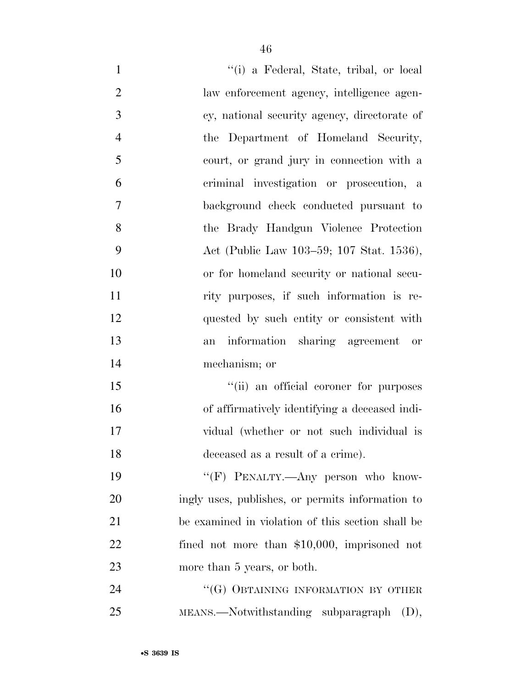| $\mathbf{1}$   | "(i) a Federal, State, tribal, or local           |
|----------------|---------------------------------------------------|
| $\overline{2}$ | law enforcement agency, intelligence agen-        |
| 3              | cy, national security agency, directorate of      |
| $\overline{4}$ | the Department of Homeland Security,              |
| 5              | court, or grand jury in connection with a         |
| 6              | criminal investigation or prosecution, a          |
| 7              | background check conducted pursuant to            |
| 8              | the Brady Handgun Violence Protection             |
| 9              | Act (Public Law 103–59; 107 Stat. 1536),          |
| 10             | or for homeland security or national secu-        |
| 11             | rity purposes, if such information is re-         |
| 12             | quested by such entity or consistent with         |
| 13             | information sharing agreement or<br>an            |
| 14             | mechanism; or                                     |
| 15             | "(ii) an official coroner for purposes            |
| 16             | of affirmatively identifying a deceased indi-     |
| 17             | vidual (whether or not such individual is         |
| 18             | deceased as a result of a crime).                 |
| 19             | "(F) PENALTY.—Any person who know-                |
| 20             | ingly uses, publishes, or permits information to  |
| 21             | be examined in violation of this section shall be |
| 22             | fined not more than $$10,000$ , imprisoned not    |
| 23             | more than 5 years, or both.                       |
| 24             | "(G) OBTAINING INFORMATION BY OTHER               |
| 25             | $MEANS.$ Notwithstanding subparagraph $(D)$ ,     |